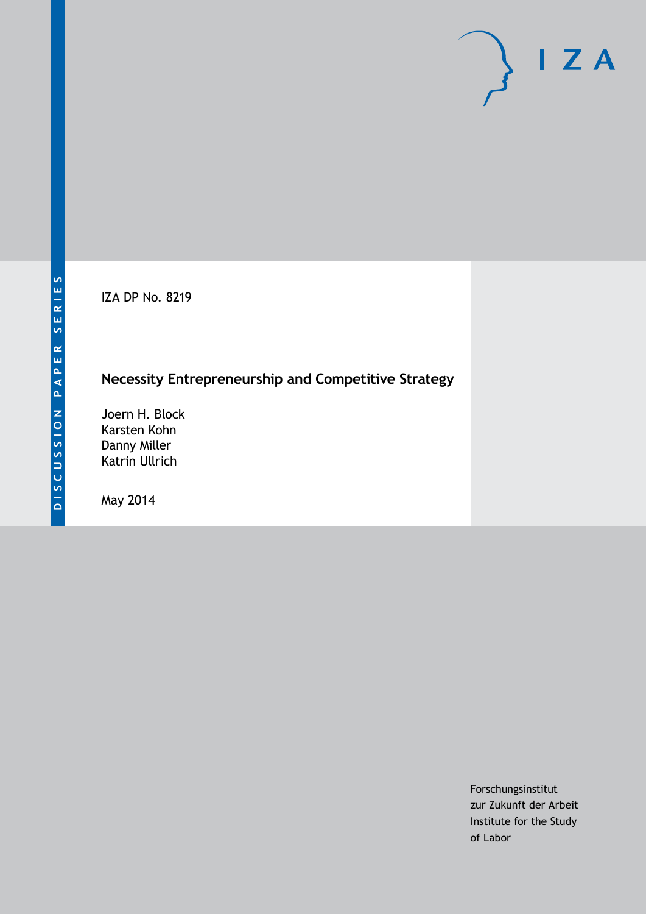IZA DP No. 8219

## **Necessity Entrepreneurship and Competitive Strategy**

Joern H. Block Karsten Kohn Danny Miller Katrin Ullrich

May 2014

Forschungsinstitut zur Zukunft der Arbeit Institute for the Study of Labor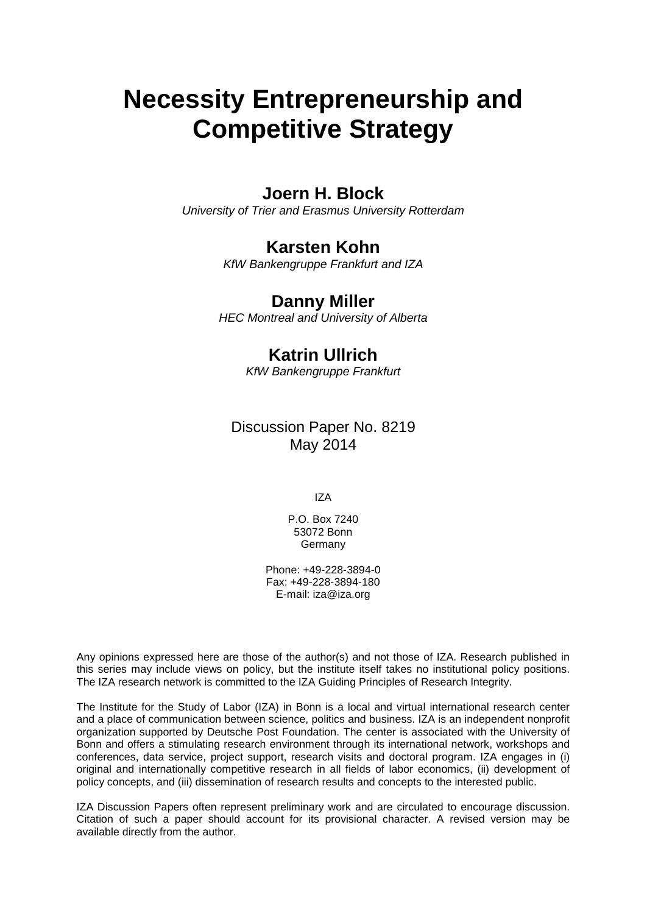# **Necessity Entrepreneurship and Competitive Strategy**

### **Joern H. Block**

*University of Trier and Erasmus University Rotterdam*

### **Karsten Kohn**

*KfW Bankengruppe Frankfurt and IZA*

### **Danny Miller**

*HEC Montreal and University of Alberta*

### **Katrin Ullrich**

*KfW Bankengruppe Frankfurt*

### Discussion Paper No. 8219 May 2014

IZA

P.O. Box 7240 53072 Bonn **Germany** 

Phone: +49-228-3894-0 Fax: +49-228-3894-180 E-mail: [iza@iza.org](mailto:iza@iza.org)

Any opinions expressed here are those of the author(s) and not those of IZA. Research published in this series may include views on policy, but the institute itself takes no institutional policy positions. The IZA research network is committed to the IZA Guiding Principles of Research Integrity.

The Institute for the Study of Labor (IZA) in Bonn is a local and virtual international research center and a place of communication between science, politics and business. IZA is an independent nonprofit organization supported by Deutsche Post Foundation. The center is associated with the University of Bonn and offers a stimulating research environment through its international network, workshops and conferences, data service, project support, research visits and doctoral program. IZA engages in (i) original and internationally competitive research in all fields of labor economics, (ii) development of policy concepts, and (iii) dissemination of research results and concepts to the interested public.

<span id="page-1-0"></span>IZA Discussion Papers often represent preliminary work and are circulated to encourage discussion. Citation of such a paper should account for its provisional character. A revised version may be available directly from the author.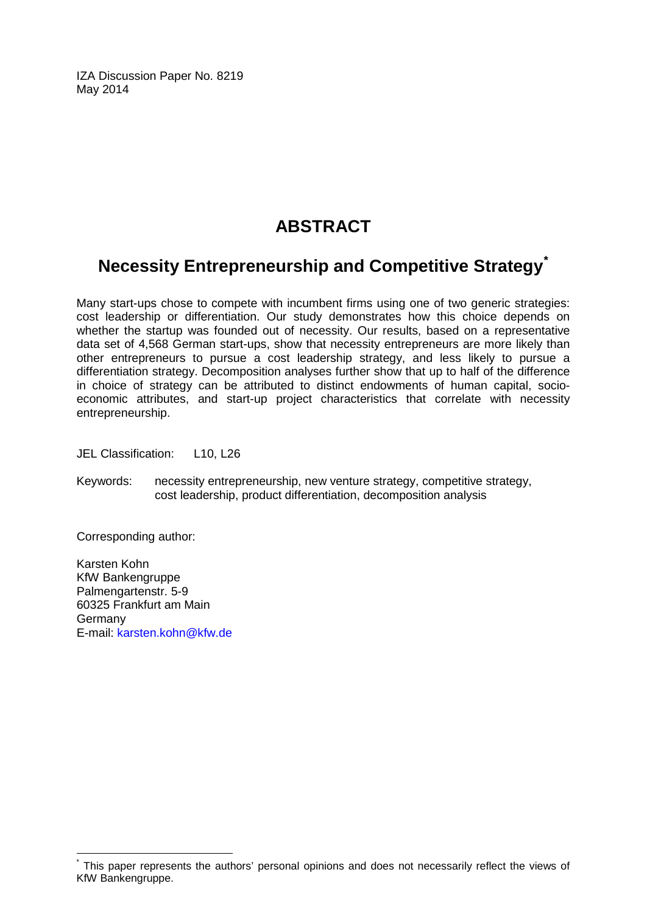IZA Discussion Paper No. 8219 May 2014

# **ABSTRACT**

# **Necessity Entrepreneurship and Competitive Strategy[\\*](#page-1-0)**

Many start-ups chose to compete with incumbent firms using one of two generic strategies: cost leadership or differentiation. Our study demonstrates how this choice depends on whether the startup was founded out of necessity. Our results, based on a representative data set of 4,568 German start-ups, show that necessity entrepreneurs are more likely than other entrepreneurs to pursue a cost leadership strategy, and less likely to pursue a differentiation strategy. Decomposition analyses further show that up to half of the difference in choice of strategy can be attributed to distinct endowments of human capital, socioeconomic attributes, and start-up project characteristics that correlate with necessity entrepreneurship.

JEL Classification: L10, L26

Keywords: necessity entrepreneurship, new venture strategy, competitive strategy, cost leadership, product differentiation, decomposition analysis

Corresponding author:

Karsten Kohn KfW Bankengruppe Palmengartenstr. 5-9 60325 Frankfurt am Main Germany E-mail: [karsten.kohn@kfw.de](mailto:karsten.kohn@kfw.de)

This paper represents the authors' personal opinions and does not necessarily reflect the views of KfW Bankengruppe.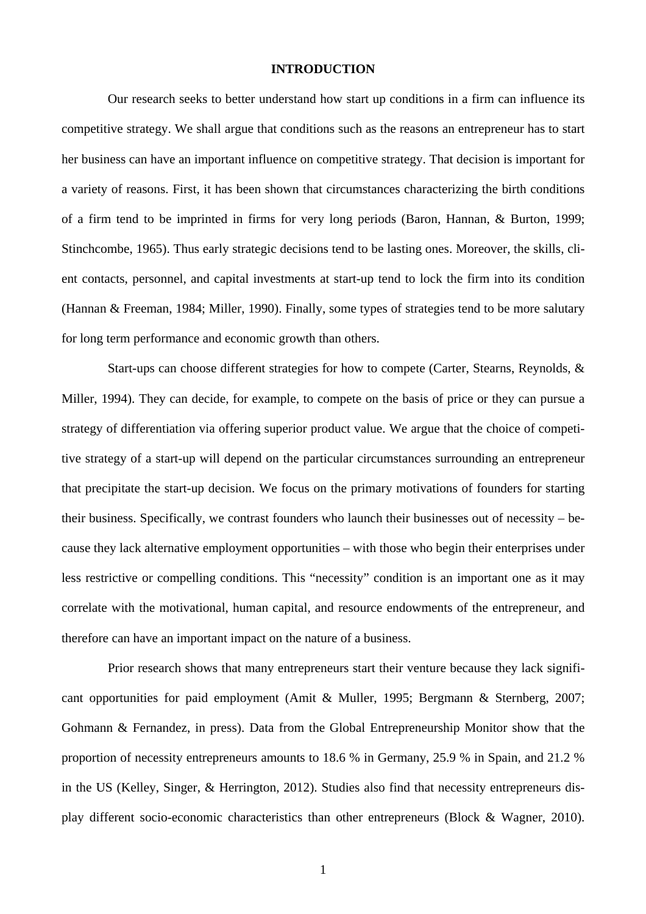#### **INTRODUCTION**

Our research seeks to better understand how start up conditions in a firm can influence its competitive strategy. We shall argue that conditions such as the reasons an entrepreneur has to start her business can have an important influence on competitive strategy. That decision is important for a variety of reasons. First, it has been shown that circumstances characterizing the birth conditions of a firm tend to be imprinted in firms for very long periods (Baron, Hannan, & Burton, 1999; Stinchcombe, 1965). Thus early strategic decisions tend to be lasting ones. Moreover, the skills, client contacts, personnel, and capital investments at start-up tend to lock the firm into its condition (Hannan & Freeman, 1984; Miller, 1990). Finally, some types of strategies tend to be more salutary for long term performance and economic growth than others.

Start-ups can choose different strategies for how to compete (Carter, Stearns, Reynolds, & Miller, 1994). They can decide, for example, to compete on the basis of price or they can pursue a strategy of differentiation via offering superior product value. We argue that the choice of competitive strategy of a start-up will depend on the particular circumstances surrounding an entrepreneur that precipitate the start-up decision. We focus on the primary motivations of founders for starting their business. Specifically, we contrast founders who launch their businesses out of necessity – because they lack alternative employment opportunities – with those who begin their enterprises under less restrictive or compelling conditions. This "necessity" condition is an important one as it may correlate with the motivational, human capital, and resource endowments of the entrepreneur, and therefore can have an important impact on the nature of a business.

Prior research shows that many entrepreneurs start their venture because they lack significant opportunities for paid employment (Amit & Muller, 1995; Bergmann & Sternberg, 2007; Gohmann & Fernandez, in press). Data from the Global Entrepreneurship Monitor show that the proportion of necessity entrepreneurs amounts to 18.6 % in Germany, 25.9 % in Spain, and 21.2 % in the US (Kelley, Singer, & Herrington, 2012). Studies also find that necessity entrepreneurs display different socio-economic characteristics than other entrepreneurs (Block & Wagner, 2010).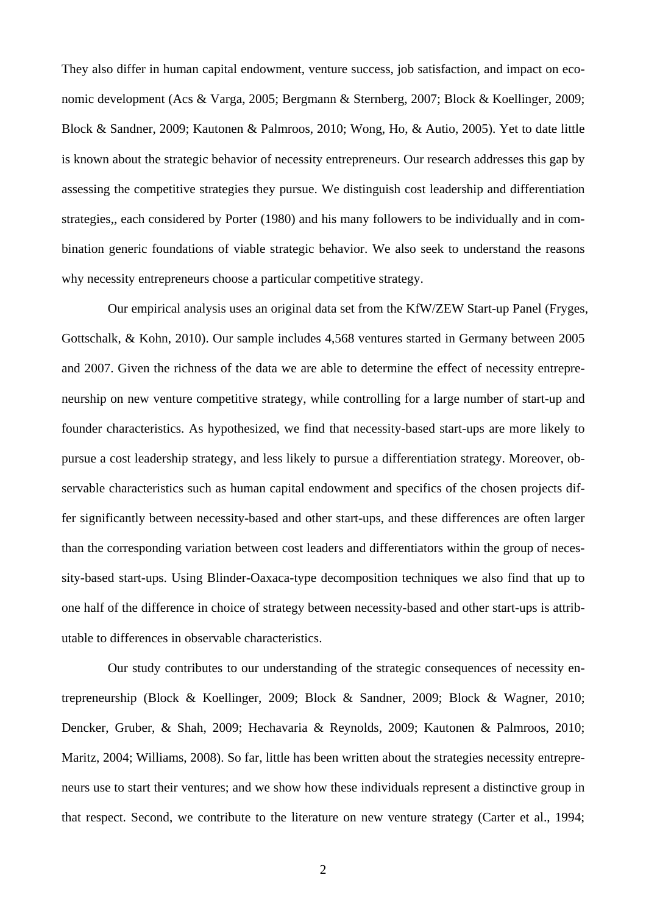They also differ in human capital endowment, venture success, job satisfaction, and impact on economic development (Acs & Varga, 2005; Bergmann & Sternberg, 2007; Block & Koellinger, 2009; Block & Sandner, 2009; Kautonen & Palmroos, 2010; Wong, Ho, & Autio, 2005). Yet to date little is known about the strategic behavior of necessity entrepreneurs. Our research addresses this gap by assessing the competitive strategies they pursue. We distinguish cost leadership and differentiation strategies,, each considered by Porter (1980) and his many followers to be individually and in combination generic foundations of viable strategic behavior. We also seek to understand the reasons why necessity entrepreneurs choose a particular competitive strategy.

Our empirical analysis uses an original data set from the KfW/ZEW Start-up Panel (Fryges, Gottschalk, & Kohn, 2010). Our sample includes 4,568 ventures started in Germany between 2005 and 2007. Given the richness of the data we are able to determine the effect of necessity entrepreneurship on new venture competitive strategy, while controlling for a large number of start-up and founder characteristics. As hypothesized, we find that necessity-based start-ups are more likely to pursue a cost leadership strategy, and less likely to pursue a differentiation strategy. Moreover, observable characteristics such as human capital endowment and specifics of the chosen projects differ significantly between necessity-based and other start-ups, and these differences are often larger than the corresponding variation between cost leaders and differentiators within the group of necessity-based start-ups. Using Blinder-Oaxaca-type decomposition techniques we also find that up to one half of the difference in choice of strategy between necessity-based and other start-ups is attributable to differences in observable characteristics.

Our study contributes to our understanding of the strategic consequences of necessity entrepreneurship (Block & Koellinger, 2009; Block & Sandner, 2009; Block & Wagner, 2010; Dencker, Gruber, & Shah, 2009; Hechavaria & Reynolds, 2009; Kautonen & Palmroos, 2010; Maritz, 2004; Williams, 2008). So far, little has been written about the strategies necessity entrepreneurs use to start their ventures; and we show how these individuals represent a distinctive group in that respect. Second, we contribute to the literature on new venture strategy (Carter et al., 1994;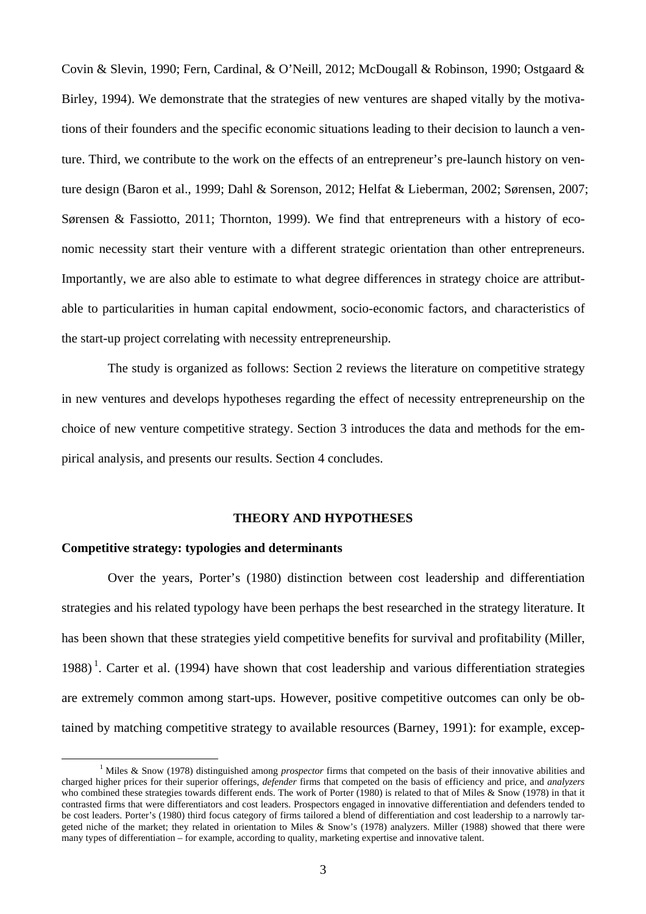Covin & Slevin, 1990; Fern, Cardinal, & O'Neill, 2012; McDougall & Robinson, 1990; Ostgaard & Birley, 1994). We demonstrate that the strategies of new ventures are shaped vitally by the motivations of their founders and the specific economic situations leading to their decision to launch a venture. Third, we contribute to the work on the effects of an entrepreneur's pre-launch history on venture design (Baron et al., 1999; Dahl & Sorenson, 2012; Helfat & Lieberman, 2002; Sørensen, 2007; Sørensen & Fassiotto, 2011; Thornton, 1999). We find that entrepreneurs with a history of economic necessity start their venture with a different strategic orientation than other entrepreneurs. Importantly, we are also able to estimate to what degree differences in strategy choice are attributable to particularities in human capital endowment, socio-economic factors, and characteristics of the start-up project correlating with necessity entrepreneurship.

The study is organized as follows: Section 2 reviews the literature on competitive strategy in new ventures and develops hypotheses regarding the effect of necessity entrepreneurship on the choice of new venture competitive strategy. Section 3 introduces the data and methods for the empirical analysis, and presents our results. Section 4 concludes.

#### **THEORY AND HYPOTHESES**

#### **Competitive strategy: typologies and determinants**

Over the years, Porter's (1980) distinction between cost leadership and differentiation strategies and his related typology have been perhaps the best researched in the strategy literature. It has been shown that these strategies yield competitive benefits for survival and profitability (Miller,  $1988$ <sup>1</sup>. Carter et al. (1994) have shown that cost leadership and various differentiation strategies are extremely common among start-ups. However, positive competitive outcomes can only be obtained by matching competitive strategy to available resources (Barney, 1991): for example, excep-

 $\frac{1}{1}$ <sup>1</sup> Miles & Snow (1978) distinguished among *prospector* firms that competed on the basis of their innovative abilities and charged higher prices for their superior offerings, *defender* firms that competed on the basis of efficiency and price, and *analyzers* who combined these strategies towards different ends. The work of Porter (1980) is related to that of Miles & Snow (1978) in that it contrasted firms that were differentiators and cost leaders. Prospectors engaged in innovative differentiation and defenders tended to be cost leaders. Porter's (1980) third focus category of firms tailored a blend of differentiation and cost leadership to a narrowly targeted niche of the market; they related in orientation to Miles & Snow's (1978) analyzers. Miller (1988) showed that there were many types of differentiation – for example, according to quality, marketing expertise and innovative talent.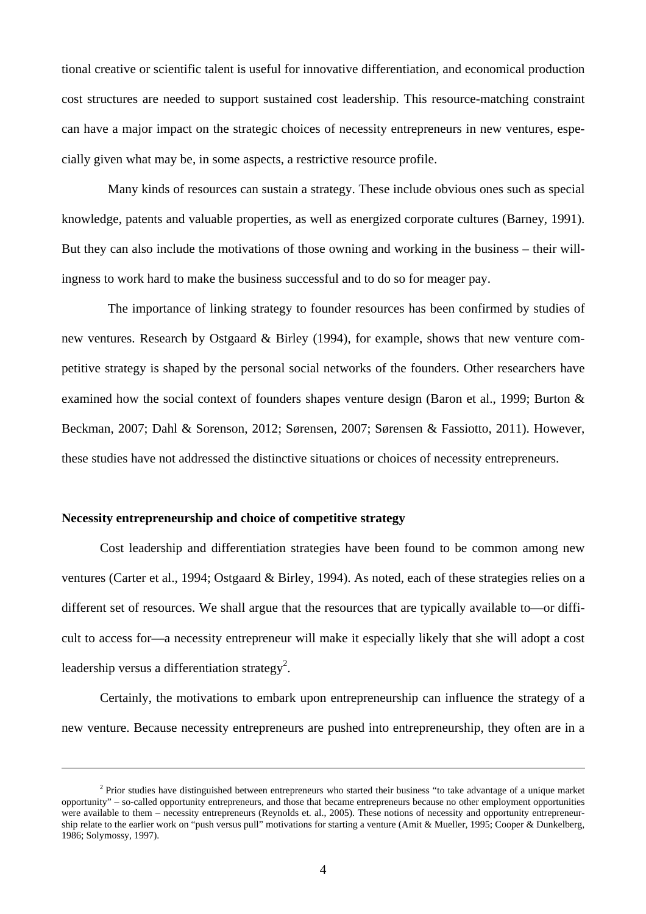tional creative or scientific talent is useful for innovative differentiation, and economical production cost structures are needed to support sustained cost leadership. This resource-matching constraint can have a major impact on the strategic choices of necessity entrepreneurs in new ventures, especially given what may be, in some aspects, a restrictive resource profile.

Many kinds of resources can sustain a strategy. These include obvious ones such as special knowledge, patents and valuable properties, as well as energized corporate cultures (Barney, 1991). But they can also include the motivations of those owning and working in the business – their willingness to work hard to make the business successful and to do so for meager pay.

The importance of linking strategy to founder resources has been confirmed by studies of new ventures. Research by Ostgaard & Birley (1994), for example, shows that new venture competitive strategy is shaped by the personal social networks of the founders. Other researchers have examined how the social context of founders shapes venture design (Baron et al., 1999; Burton & Beckman, 2007; Dahl & Sorenson, 2012; Sørensen, 2007; Sørensen & Fassiotto, 2011). However, these studies have not addressed the distinctive situations or choices of necessity entrepreneurs.

#### **Necessity entrepreneurship and choice of competitive strategy**

 $\overline{a}$ 

Cost leadership and differentiation strategies have been found to be common among new ventures (Carter et al., 1994; Ostgaard & Birley, 1994). As noted, each of these strategies relies on a different set of resources. We shall argue that the resources that are typically available to—or difficult to access for—a necessity entrepreneur will make it especially likely that she will adopt a cost leadership versus a differentiation strategy<sup>2</sup>.

Certainly, the motivations to embark upon entrepreneurship can influence the strategy of a new venture. Because necessity entrepreneurs are pushed into entrepreneurship, they often are in a

<sup>&</sup>lt;sup>2</sup> Prior studies have distinguished between entrepreneurs who started their business "to take advantage of a unique market opportunity" – so-called opportunity entrepreneurs, and those that became entrepreneurs because no other employment opportunities were available to them – necessity entrepreneurs (Reynolds et. al., 2005). These notions of necessity and opportunity entrepreneurship relate to the earlier work on "push versus pull" motivations for starting a venture (Amit & Mueller, 1995; Cooper & Dunkelberg, 1986; Solymossy, 1997).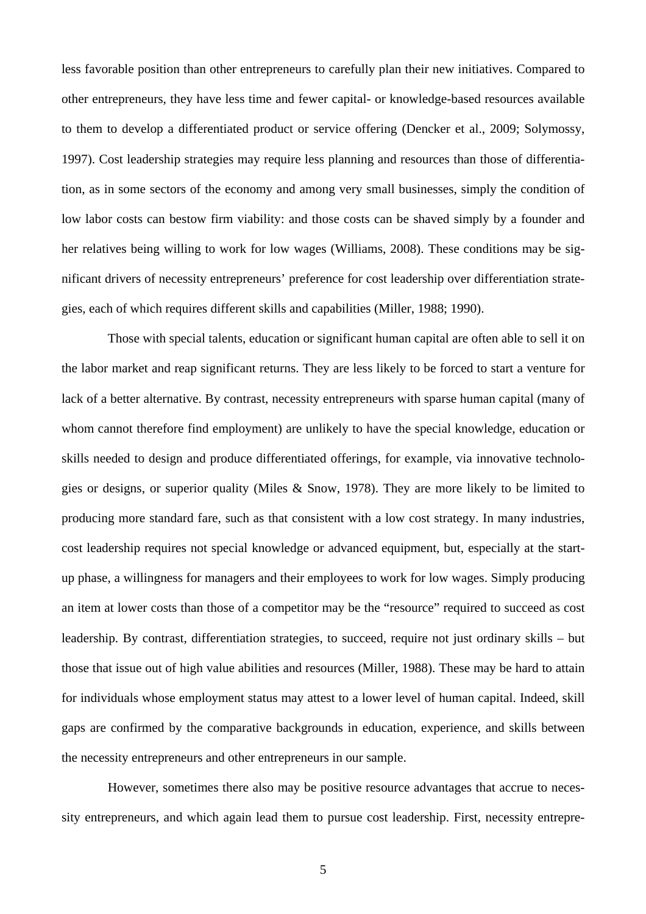less favorable position than other entrepreneurs to carefully plan their new initiatives. Compared to other entrepreneurs, they have less time and fewer capital- or knowledge-based resources available to them to develop a differentiated product or service offering (Dencker et al., 2009; Solymossy, 1997). Cost leadership strategies may require less planning and resources than those of differentiation, as in some sectors of the economy and among very small businesses, simply the condition of low labor costs can bestow firm viability: and those costs can be shaved simply by a founder and her relatives being willing to work for low wages (Williams, 2008). These conditions may be significant drivers of necessity entrepreneurs' preference for cost leadership over differentiation strategies, each of which requires different skills and capabilities (Miller, 1988; 1990).

Those with special talents, education or significant human capital are often able to sell it on the labor market and reap significant returns. They are less likely to be forced to start a venture for lack of a better alternative. By contrast, necessity entrepreneurs with sparse human capital (many of whom cannot therefore find employment) are unlikely to have the special knowledge, education or skills needed to design and produce differentiated offerings, for example, via innovative technologies or designs, or superior quality (Miles & Snow, 1978). They are more likely to be limited to producing more standard fare, such as that consistent with a low cost strategy. In many industries, cost leadership requires not special knowledge or advanced equipment, but, especially at the startup phase, a willingness for managers and their employees to work for low wages. Simply producing an item at lower costs than those of a competitor may be the "resource" required to succeed as cost leadership. By contrast, differentiation strategies, to succeed, require not just ordinary skills – but those that issue out of high value abilities and resources (Miller, 1988). These may be hard to attain for individuals whose employment status may attest to a lower level of human capital. Indeed, skill gaps are confirmed by the comparative backgrounds in education, experience, and skills between the necessity entrepreneurs and other entrepreneurs in our sample.

However, sometimes there also may be positive resource advantages that accrue to necessity entrepreneurs, and which again lead them to pursue cost leadership. First, necessity entrepre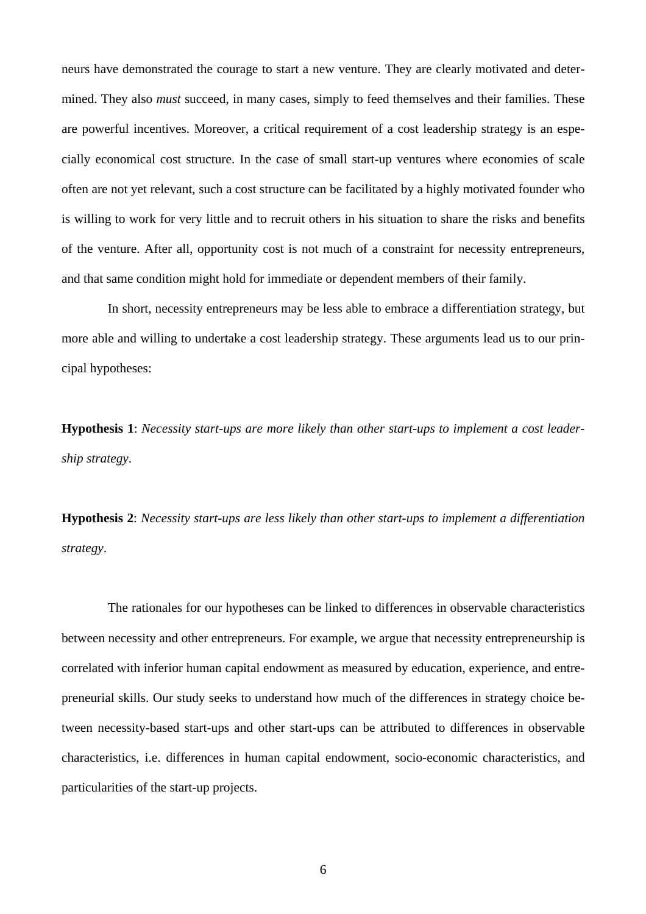neurs have demonstrated the courage to start a new venture. They are clearly motivated and determined. They also *must* succeed, in many cases, simply to feed themselves and their families. These are powerful incentives. Moreover, a critical requirement of a cost leadership strategy is an especially economical cost structure. In the case of small start-up ventures where economies of scale often are not yet relevant, such a cost structure can be facilitated by a highly motivated founder who is willing to work for very little and to recruit others in his situation to share the risks and benefits of the venture. After all, opportunity cost is not much of a constraint for necessity entrepreneurs, and that same condition might hold for immediate or dependent members of their family.

In short, necessity entrepreneurs may be less able to embrace a differentiation strategy, but more able and willing to undertake a cost leadership strategy. These arguments lead us to our principal hypotheses:

**Hypothesis 1**: *Necessity start-ups are more likely than other start-ups to implement a cost leadership strategy*.

**Hypothesis 2**: *Necessity start-ups are less likely than other start-ups to implement a differentiation strategy*.

The rationales for our hypotheses can be linked to differences in observable characteristics between necessity and other entrepreneurs. For example, we argue that necessity entrepreneurship is correlated with inferior human capital endowment as measured by education, experience, and entrepreneurial skills. Our study seeks to understand how much of the differences in strategy choice between necessity-based start-ups and other start-ups can be attributed to differences in observable characteristics, i.e. differences in human capital endowment, socio-economic characteristics, and particularities of the start-up projects.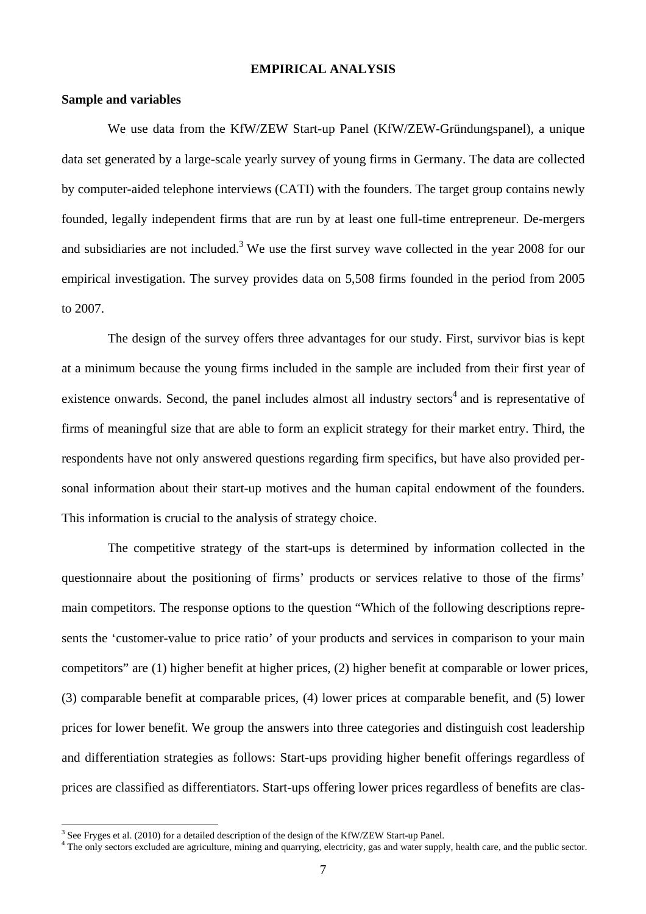#### **EMPIRICAL ANALYSIS**

#### **Sample and variables**

We use data from the KfW/ZEW Start-up Panel (KfW/ZEW-Gründungspanel), a unique data set generated by a large-scale yearly survey of young firms in Germany. The data are collected by computer-aided telephone interviews (CATI) with the founders. The target group contains newly founded, legally independent firms that are run by at least one full-time entrepreneur. De-mergers and subsidiaries are not included.<sup>3</sup> We use the first survey wave collected in the year 2008 for our empirical investigation. The survey provides data on 5,508 firms founded in the period from 2005 to 2007.

The design of the survey offers three advantages for our study. First, survivor bias is kept at a minimum because the young firms included in the sample are included from their first year of existence onwards. Second, the panel includes almost all industry sectors<sup>4</sup> and is representative of firms of meaningful size that are able to form an explicit strategy for their market entry. Third, the respondents have not only answered questions regarding firm specifics, but have also provided personal information about their start-up motives and the human capital endowment of the founders. This information is crucial to the analysis of strategy choice.

The competitive strategy of the start-ups is determined by information collected in the questionnaire about the positioning of firms' products or services relative to those of the firms' main competitors. The response options to the question "Which of the following descriptions represents the 'customer-value to price ratio' of your products and services in comparison to your main competitors" are (1) higher benefit at higher prices, (2) higher benefit at comparable or lower prices, (3) comparable benefit at comparable prices, (4) lower prices at comparable benefit, and (5) lower prices for lower benefit. We group the answers into three categories and distinguish cost leadership and differentiation strategies as follows: Start-ups providing higher benefit offerings regardless of prices are classified as differentiators. Start-ups offering lower prices regardless of benefits are clas-

 $\overline{a}$ 

<sup>3</sup> See Fryges et al. (2010) for a detailed description of the design of the KfW/ZEW Start-up Panel. 4

The only sectors excluded are agriculture, mining and quarrying, electricity, gas and water supply, health care, and the public sector.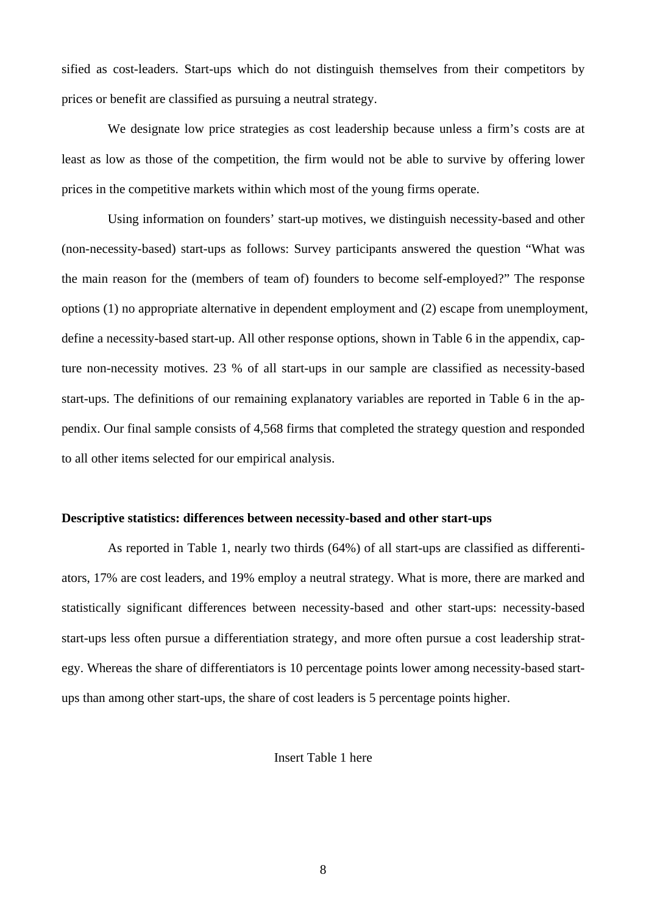sified as cost-leaders. Start-ups which do not distinguish themselves from their competitors by prices or benefit are classified as pursuing a neutral strategy.

We designate low price strategies as cost leadership because unless a firm's costs are at least as low as those of the competition, the firm would not be able to survive by offering lower prices in the competitive markets within which most of the young firms operate.

Using information on founders' start-up motives, we distinguish necessity-based and other (non-necessity-based) start-ups as follows: Survey participants answered the question "What was the main reason for the (members of team of) founders to become self-employed?" The response options (1) no appropriate alternative in dependent employment and (2) escape from unemployment, define a necessity-based start-up. All other response options, shown in Table 6 in the appendix, capture non-necessity motives. 23 % of all start-ups in our sample are classified as necessity-based start-ups. The definitions of our remaining explanatory variables are reported in Table 6 in the appendix. Our final sample consists of 4,568 firms that completed the strategy question and responded to all other items selected for our empirical analysis.

#### **Descriptive statistics: differences between necessity-based and other start-ups**

As reported in Table 1, nearly two thirds (64%) of all start-ups are classified as differentiators, 17% are cost leaders, and 19% employ a neutral strategy. What is more, there are marked and statistically significant differences between necessity-based and other start-ups: necessity-based start-ups less often pursue a differentiation strategy, and more often pursue a cost leadership strategy. Whereas the share of differentiators is 10 percentage points lower among necessity-based startups than among other start-ups, the share of cost leaders is 5 percentage points higher.

Insert Table 1 here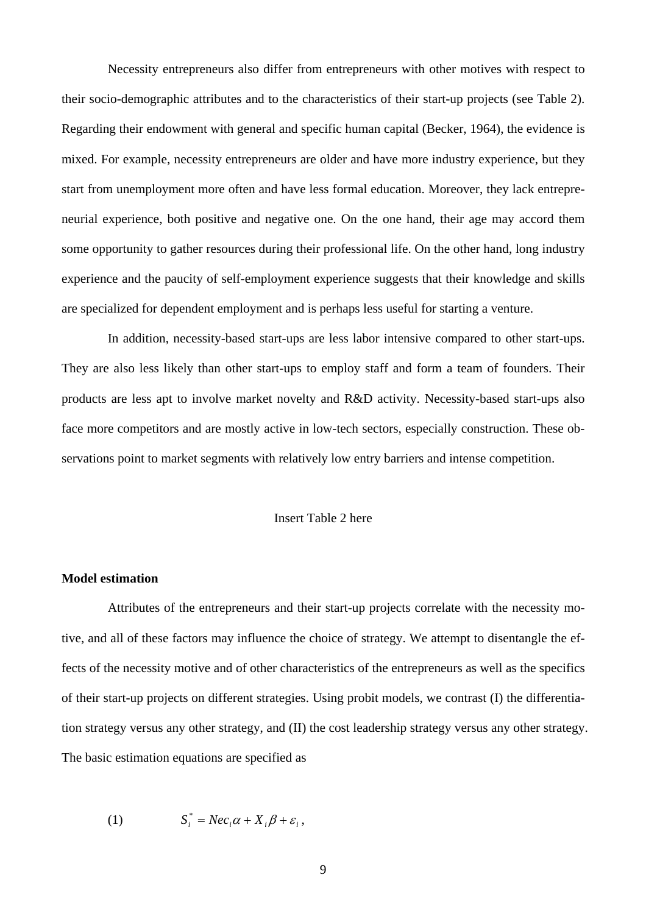Necessity entrepreneurs also differ from entrepreneurs with other motives with respect to their socio-demographic attributes and to the characteristics of their start-up projects (see Table 2). Regarding their endowment with general and specific human capital (Becker, 1964), the evidence is mixed. For example, necessity entrepreneurs are older and have more industry experience, but they start from unemployment more often and have less formal education. Moreover, they lack entrepreneurial experience, both positive and negative one. On the one hand, their age may accord them some opportunity to gather resources during their professional life. On the other hand, long industry experience and the paucity of self-employment experience suggests that their knowledge and skills are specialized for dependent employment and is perhaps less useful for starting a venture.

In addition, necessity-based start-ups are less labor intensive compared to other start-ups. They are also less likely than other start-ups to employ staff and form a team of founders. Their products are less apt to involve market novelty and R&D activity. Necessity-based start-ups also face more competitors and are mostly active in low-tech sectors, especially construction. These observations point to market segments with relatively low entry barriers and intense competition.

#### Insert Table 2 here

#### **Model estimation**

Attributes of the entrepreneurs and their start-up projects correlate with the necessity motive, and all of these factors may influence the choice of strategy. We attempt to disentangle the effects of the necessity motive and of other characteristics of the entrepreneurs as well as the specifics of their start-up projects on different strategies. Using probit models, we contrast (I) the differentiation strategy versus any other strategy, and (II) the cost leadership strategy versus any other strategy. The basic estimation equations are specified as

(1) 
$$
S_i^* = Nec_i\alpha + X_i\beta + \varepsilon_i,
$$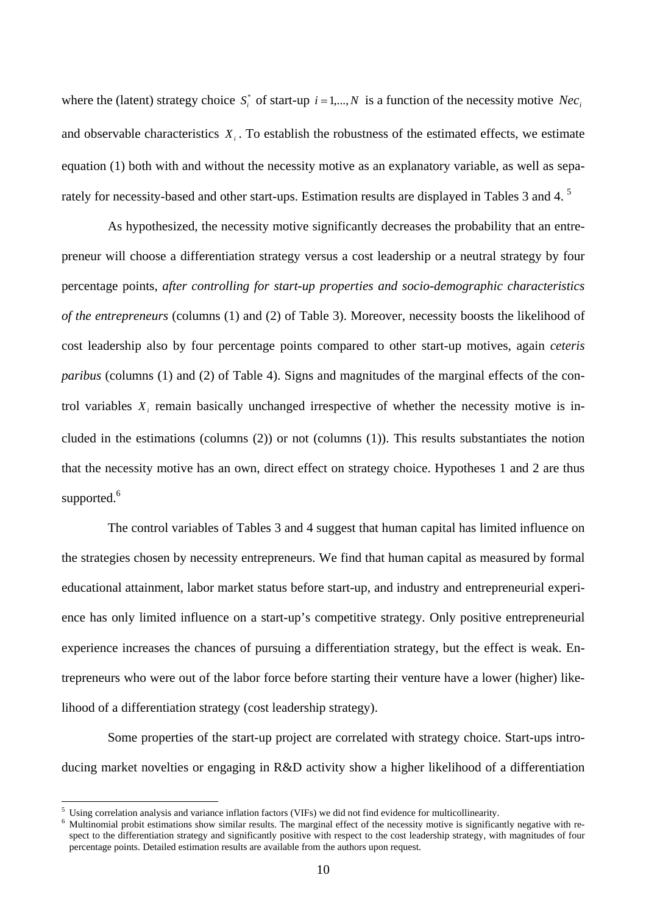where the (latent) strategy choice  $S_i^*$  of start-up  $i = 1,...,N$  is a function of the necessity motive *Nec*<sub>i</sub> and observable characteristics  $X_i$ . To establish the robustness of the estimated effects, we estimate equation (1) both with and without the necessity motive as an explanatory variable, as well as separately for necessity-based and other start-ups. Estimation results are displayed in Tables 3 and 4.<sup>5</sup>

As hypothesized, the necessity motive significantly decreases the probability that an entrepreneur will choose a differentiation strategy versus a cost leadership or a neutral strategy by four percentage points, *after controlling for start-up properties and socio-demographic characteristics of the entrepreneurs* (columns (1) and (2) of Table 3). Moreover, necessity boosts the likelihood of cost leadership also by four percentage points compared to other start-up motives, again *ceteris paribus* (columns (1) and (2) of Table 4). Signs and magnitudes of the marginal effects of the control variables  $X_i$  remain basically unchanged irrespective of whether the necessity motive is included in the estimations (columns (2)) or not (columns (1)). This results substantiates the notion that the necessity motive has an own, direct effect on strategy choice. Hypotheses 1 and 2 are thus supported.<sup>6</sup>

The control variables of Tables 3 and 4 suggest that human capital has limited influence on the strategies chosen by necessity entrepreneurs. We find that human capital as measured by formal educational attainment, labor market status before start-up, and industry and entrepreneurial experience has only limited influence on a start-up's competitive strategy. Only positive entrepreneurial experience increases the chances of pursuing a differentiation strategy, but the effect is weak. Entrepreneurs who were out of the labor force before starting their venture have a lower (higher) likelihood of a differentiation strategy (cost leadership strategy).

Some properties of the start-up project are correlated with strategy choice. Start-ups introducing market novelties or engaging in R&D activity show a higher likelihood of a differentiation

 $\overline{a}$ 

<sup>&</sup>lt;sup>5</sup> Using correlation analysis and variance inflation factors (VIFs) we did not find evidence for multicollinearity.<br><sup>6</sup> Multipomial probit estimations show similar results. The marginal effect of the necessity metric is

Multinomial probit estimations show similar results. The marginal effect of the necessity motive is significantly negative with respect to the differentiation strategy and significantly positive with respect to the cost leadership strategy, with magnitudes of four percentage points. Detailed estimation results are available from the authors upon request.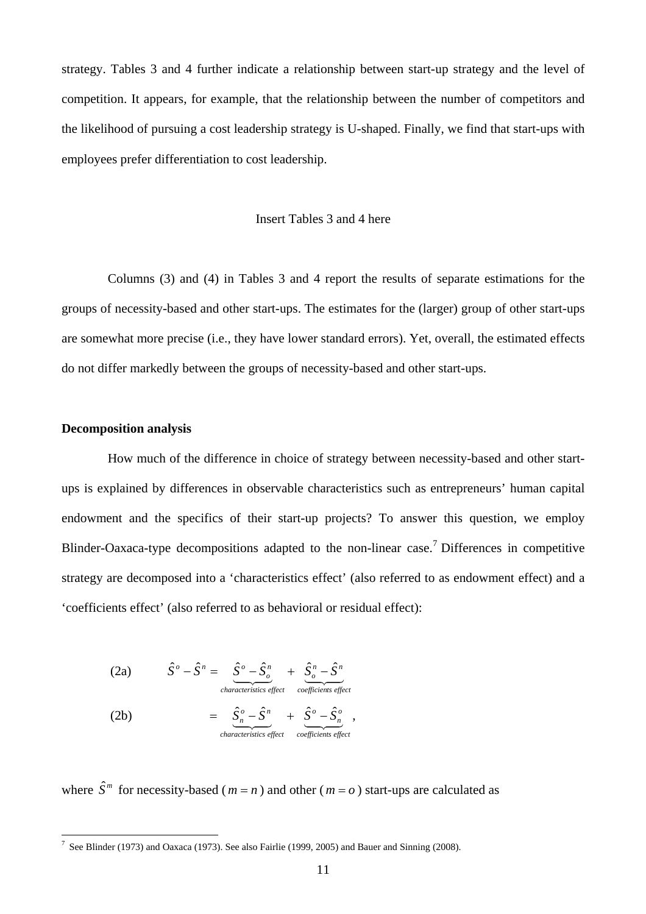strategy. Tables 3 and 4 further indicate a relationship between start-up strategy and the level of competition. It appears, for example, that the relationship between the number of competitors and the likelihood of pursuing a cost leadership strategy is U-shaped. Finally, we find that start-ups with employees prefer differentiation to cost leadership.

#### Insert Tables 3 and 4 here

Columns (3) and (4) in Tables 3 and 4 report the results of separate estimations for the groups of necessity-based and other start-ups. The estimates for the (larger) group of other start-ups are somewhat more precise (i.e., they have lower standard errors). Yet, overall, the estimated effects do not differ markedly between the groups of necessity-based and other start-ups.

#### **Decomposition analysis**

How much of the difference in choice of strategy between necessity-based and other startups is explained by differences in observable characteristics such as entrepreneurs' human capital endowment and the specifics of their start-up projects? To answer this question, we employ Blinder-Oaxaca-type decompositions adapted to the non-linear case.<sup>7</sup> Differences in competitive strategy are decomposed into a 'characteristics effect' (also referred to as endowment effect) and a 'coefficients effect' (also referred to as behavioral or residual effect):

(2a) 
$$
\hat{S}^{\circ} - \hat{S}^n = \underbrace{\hat{S}^{\circ} - \hat{S}^n}_{characteristics effect} + \underbrace{\hat{S}^{\circ}_{\circ} - \hat{S}^n}_{coefficients effect}
$$
  
(2b) 
$$
= \underbrace{\hat{S}^{\circ}_{n} - \hat{S}^n}_{characteristics effect} + \underbrace{\hat{S}^{\circ} - \hat{S}^{\circ}_{n}}_{coefficients effect},
$$

where  $\hat{S}^m$  for necessity-based ( $m = n$ ) and other ( $m = o$ ) start-ups are calculated as

<sup>&</sup>lt;sup>7</sup> See Blinder (1973) and Oaxaca (1973). See also Fairlie (1999, 2005) and Bauer and Sinning (2008).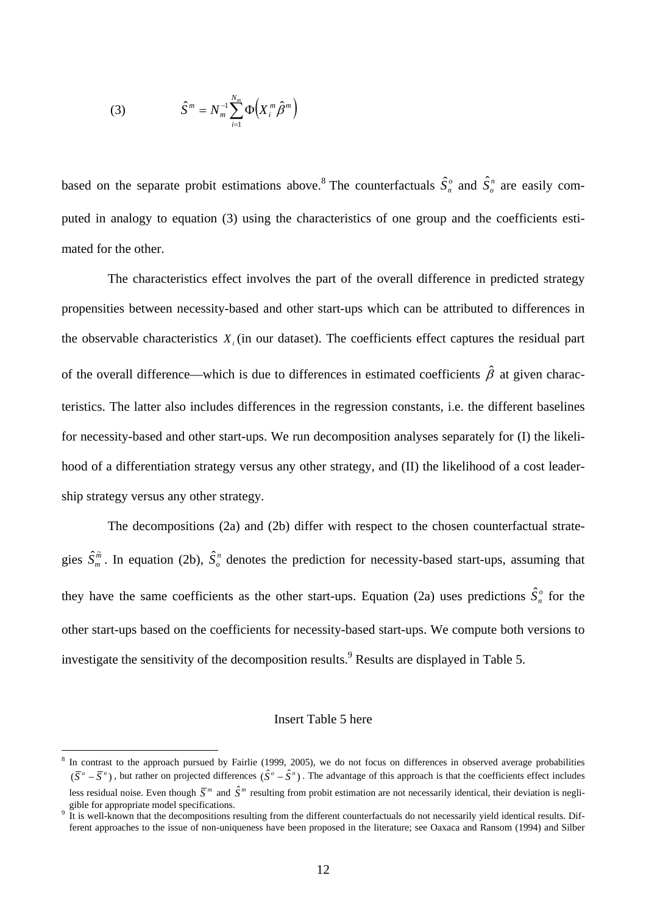(3) 
$$
\hat{S}^{m} = N_{m}^{-1} \sum_{i=1}^{N_{m}} \Phi \Big( X_{i}^{m} \hat{\beta}^{m} \Big)
$$

based on the separate probit estimations above.<sup>8</sup> The counterfactuals  $\hat{S}_n^o$  and  $\hat{S}_o^n$  are easily computed in analogy to equation (3) using the characteristics of one group and the coefficients estimated for the other.

The characteristics effect involves the part of the overall difference in predicted strategy propensities between necessity-based and other start-ups which can be attributed to differences in the observable characteristics *Xi* (in our dataset). The coefficients effect captures the residual part of the overall difference—which is due to differences in estimated coefficients  $\hat{\beta}$  at given characteristics. The latter also includes differences in the regression constants, i.e. the different baselines for necessity-based and other start-ups. We run decomposition analyses separately for (I) the likelihood of a differentiation strategy versus any other strategy, and (II) the likelihood of a cost leadership strategy versus any other strategy.

The decompositions (2a) and (2b) differ with respect to the chosen counterfactual strategies  $\hat{S}_m^{\tilde{m}}$ . In equation (2b),  $\hat{S}_o^{\tilde{n}}$  denotes the prediction for necessity-based start-ups, assuming that they have the same coefficients as the other start-ups. Equation (2a) uses predictions  $\hat{S}_n^o$  for the other start-ups based on the coefficients for necessity-based start-ups. We compute both versions to investigate the sensitivity of the decomposition results.<sup>9</sup> Results are displayed in Table 5.

#### Insert Table 5 here

 $\overline{a}$ 

<sup>8</sup> In contrast to the approach pursued by Fairlie (1999, 2005), we do not focus on differences in observed average probabilities  $(\bar{S}^{\circ} - \bar{S}^n)$ , but rather on projected differences  $(\hat{S}^{\circ} - \hat{S}^n)$ . The advantage of this approach is that the coefficients effect includes less residual noise. Even though  $\bar{S}^m$  and  $\hat{S}^m$  resulting from probit estimation are not necessarily identical, their deviation is negli-

gible for appropriate model specifications.<br><sup>9</sup> It is well-known that the decompositions resulting from the different counterfactuals do not necessarily yield identical results. Different approaches to the issue of non-uniqueness have been proposed in the literature; see Oaxaca and Ransom (1994) and Silber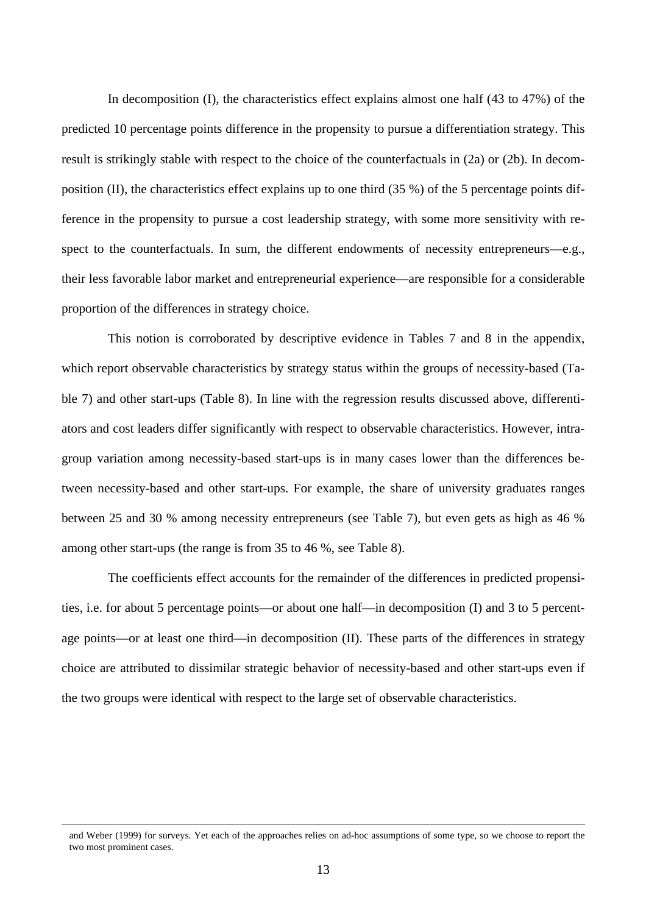In decomposition (I), the characteristics effect explains almost one half (43 to 47%) of the predicted 10 percentage points difference in the propensity to pursue a differentiation strategy. This result is strikingly stable with respect to the choice of the counterfactuals in (2a) or (2b). In decomposition (II), the characteristics effect explains up to one third (35 %) of the 5 percentage points difference in the propensity to pursue a cost leadership strategy, with some more sensitivity with respect to the counterfactuals. In sum, the different endowments of necessity entrepreneurs—e.g., their less favorable labor market and entrepreneurial experience—are responsible for a considerable proportion of the differences in strategy choice.

This notion is corroborated by descriptive evidence in Tables 7 and 8 in the appendix, which report observable characteristics by strategy status within the groups of necessity-based (Table 7) and other start-ups (Table 8). In line with the regression results discussed above, differentiators and cost leaders differ significantly with respect to observable characteristics. However, intragroup variation among necessity-based start-ups is in many cases lower than the differences between necessity-based and other start-ups. For example, the share of university graduates ranges between 25 and 30 % among necessity entrepreneurs (see Table 7), but even gets as high as 46 % among other start-ups (the range is from 35 to 46 %, see Table 8).

The coefficients effect accounts for the remainder of the differences in predicted propensities, i.e. for about 5 percentage points—or about one half—in decomposition (I) and 3 to 5 percentage points—or at least one third—in decomposition (II). These parts of the differences in strategy choice are attributed to dissimilar strategic behavior of necessity-based and other start-ups even if the two groups were identical with respect to the large set of observable characteristics.

and Weber (1999) for surveys. Yet each of the approaches relies on ad-hoc assumptions of some type, so we choose to report the two most prominent cases.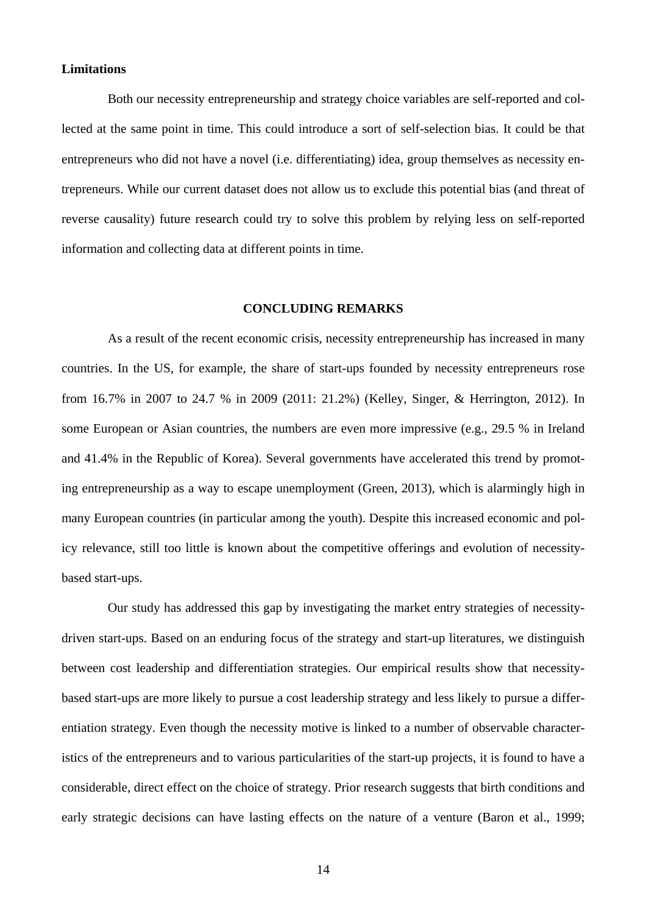#### **Limitations**

Both our necessity entrepreneurship and strategy choice variables are self-reported and collected at the same point in time. This could introduce a sort of self-selection bias. It could be that entrepreneurs who did not have a novel (i.e. differentiating) idea, group themselves as necessity entrepreneurs. While our current dataset does not allow us to exclude this potential bias (and threat of reverse causality) future research could try to solve this problem by relying less on self-reported information and collecting data at different points in time.

#### **CONCLUDING REMARKS**

As a result of the recent economic crisis, necessity entrepreneurship has increased in many countries. In the US, for example, the share of start-ups founded by necessity entrepreneurs rose from 16.7% in 2007 to 24.7 % in 2009 (2011: 21.2%) (Kelley, Singer, & Herrington, 2012). In some European or Asian countries, the numbers are even more impressive (e.g., 29.5 % in Ireland and 41.4% in the Republic of Korea). Several governments have accelerated this trend by promoting entrepreneurship as a way to escape unemployment (Green, 2013), which is alarmingly high in many European countries (in particular among the youth). Despite this increased economic and policy relevance, still too little is known about the competitive offerings and evolution of necessitybased start-ups.

Our study has addressed this gap by investigating the market entry strategies of necessitydriven start-ups. Based on an enduring focus of the strategy and start-up literatures, we distinguish between cost leadership and differentiation strategies. Our empirical results show that necessitybased start-ups are more likely to pursue a cost leadership strategy and less likely to pursue a differentiation strategy. Even though the necessity motive is linked to a number of observable characteristics of the entrepreneurs and to various particularities of the start-up projects, it is found to have a considerable, direct effect on the choice of strategy. Prior research suggests that birth conditions and early strategic decisions can have lasting effects on the nature of a venture (Baron et al., 1999;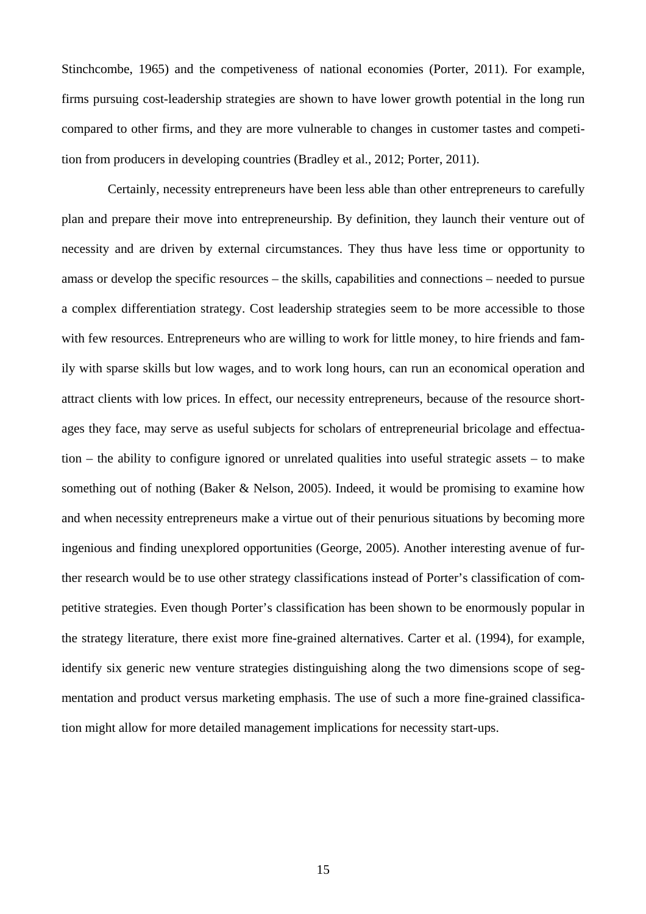Stinchcombe, 1965) and the competiveness of national economies (Porter, 2011). For example, firms pursuing cost-leadership strategies are shown to have lower growth potential in the long run compared to other firms, and they are more vulnerable to changes in customer tastes and competition from producers in developing countries (Bradley et al., 2012; Porter, 2011).

Certainly, necessity entrepreneurs have been less able than other entrepreneurs to carefully plan and prepare their move into entrepreneurship. By definition, they launch their venture out of necessity and are driven by external circumstances. They thus have less time or opportunity to amass or develop the specific resources – the skills, capabilities and connections – needed to pursue a complex differentiation strategy. Cost leadership strategies seem to be more accessible to those with few resources. Entrepreneurs who are willing to work for little money, to hire friends and family with sparse skills but low wages, and to work long hours, can run an economical operation and attract clients with low prices. In effect, our necessity entrepreneurs, because of the resource shortages they face, may serve as useful subjects for scholars of entrepreneurial bricolage and effectuation – the ability to configure ignored or unrelated qualities into useful strategic assets – to make something out of nothing (Baker & Nelson, 2005). Indeed, it would be promising to examine how and when necessity entrepreneurs make a virtue out of their penurious situations by becoming more ingenious and finding unexplored opportunities (George, 2005). Another interesting avenue of further research would be to use other strategy classifications instead of Porter's classification of competitive strategies. Even though Porter's classification has been shown to be enormously popular in the strategy literature, there exist more fine-grained alternatives. Carter et al. (1994), for example, identify six generic new venture strategies distinguishing along the two dimensions scope of segmentation and product versus marketing emphasis. The use of such a more fine-grained classification might allow for more detailed management implications for necessity start-ups.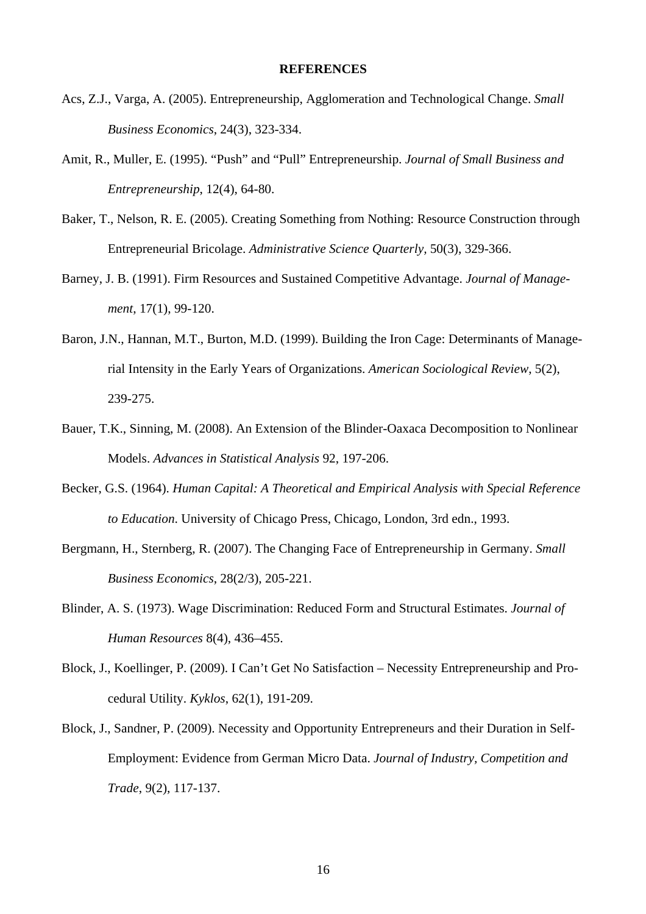#### **REFERENCES**

- Acs, Z.J., Varga, A. (2005). Entrepreneurship, Agglomeration and Technological Change. *Small Business Economics*, 24(3), 323-334.
- Amit, R., Muller, E. (1995). "Push" and "Pull" Entrepreneurship. *Journal of Small Business and Entrepreneurship*, 12(4), 64-80.
- Baker, T., Nelson, R. E. (2005). Creating Something from Nothing: Resource Construction through Entrepreneurial Bricolage. *Administrative Science Quarterly,* 50(3), 329-366.
- Barney, J. B. (1991). Firm Resources and Sustained Competitive Advantage. *Journal of Management*, 17(1), 99-120.
- Baron, J.N., Hannan, M.T., Burton, M.D. (1999). Building the Iron Cage: Determinants of Managerial Intensity in the Early Years of Organizations. *American Sociological Review*, 5(2), 239-275.
- Bauer, T.K., Sinning, M. (2008). An Extension of the Blinder-Oaxaca Decomposition to Nonlinear Models. *Advances in Statistical Analysis* 92, 197-206.
- Becker, G.S. (1964). *Human Capital: A Theoretical and Empirical Analysis with Special Reference to Education*. University of Chicago Press, Chicago, London, 3rd edn., 1993.
- Bergmann, H., Sternberg, R. (2007). The Changing Face of Entrepreneurship in Germany. *Small Business Economics*, 28(2/3), 205-221.
- Blinder, A. S. (1973). Wage Discrimination: Reduced Form and Structural Estimates. *Journal of Human Resources* 8(4), 436–455.
- Block, J., Koellinger, P. (2009). I Can't Get No Satisfaction Necessity Entrepreneurship and Procedural Utility. *Kyklos*, 62(1), 191-209.
- Block, J., Sandner, P. (2009). Necessity and Opportunity Entrepreneurs and their Duration in Self-Employment: Evidence from German Micro Data. *Journal of Industry, Competition and Trade*, 9(2), 117-137.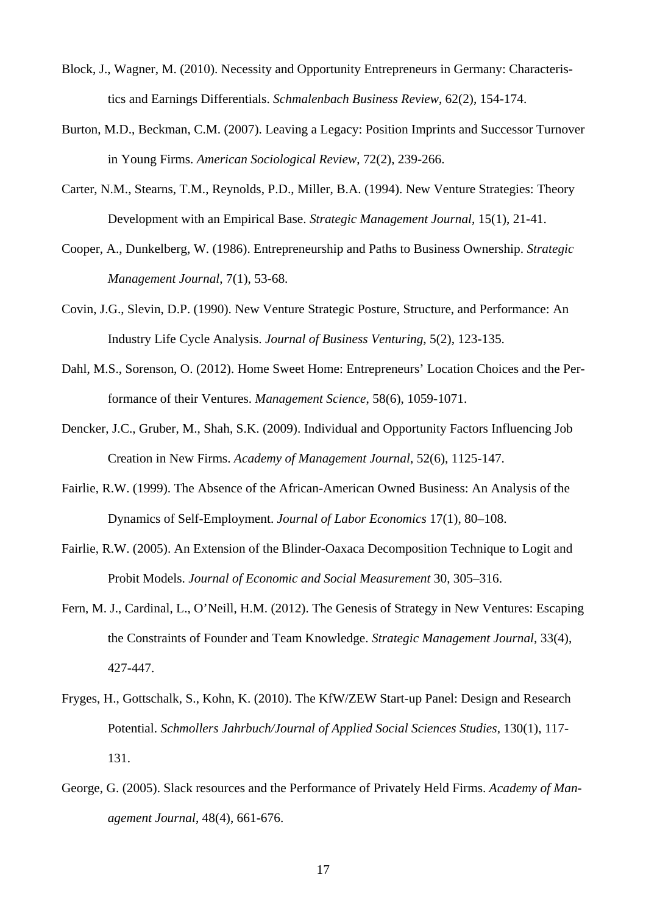- Block, J., Wagner, M. (2010). Necessity and Opportunity Entrepreneurs in Germany: Characteristics and Earnings Differentials. *Schmalenbach Business Review*, 62(2), 154-174.
- Burton, M.D., Beckman, C.M. (2007). Leaving a Legacy: Position Imprints and Successor Turnover in Young Firms. *American Sociological Review*, 72(2), 239-266.
- Carter, N.M., Stearns, T.M., Reynolds, P.D., Miller, B.A. (1994). New Venture Strategies: Theory Development with an Empirical Base. *Strategic Management Journal*, 15(1), 21-41.
- Cooper, A., Dunkelberg, W. (1986). Entrepreneurship and Paths to Business Ownership. *Strategic Management Journal*, 7(1), 53-68.
- Covin, J.G., Slevin, D.P. (1990). New Venture Strategic Posture, Structure, and Performance: An Industry Life Cycle Analysis. *Journal of Business Venturing*, 5(2), 123-135.
- Dahl, M.S., Sorenson, O. (2012). Home Sweet Home: Entrepreneurs' Location Choices and the Performance of their Ventures. *Management Science*, 58(6), 1059-1071.
- Dencker, J.C., Gruber, M., Shah, S.K. (2009). Individual and Opportunity Factors Influencing Job Creation in New Firms. *Academy of Management Journal*, 52(6), 1125-147.
- Fairlie, R.W. (1999). The Absence of the African-American Owned Business: An Analysis of the Dynamics of Self-Employment. *Journal of Labor Economics* 17(1), 80–108.
- Fairlie, R.W. (2005). An Extension of the Blinder-Oaxaca Decomposition Technique to Logit and Probit Models. *Journal of Economic and Social Measurement* 30, 305–316.
- Fern, M. J., Cardinal, L., O'Neill, H.M. (2012). The Genesis of Strategy in New Ventures: Escaping the Constraints of Founder and Team Knowledge. *Strategic Management Journal*, 33(4), 427-447.
- Fryges, H., Gottschalk, S., Kohn, K. (2010). The KfW/ZEW Start-up Panel: Design and Research Potential. *Schmollers Jahrbuch/Journal of Applied Social Sciences Studies,* 130(1), 117- 131.
- George, G. (2005). Slack resources and the Performance of Privately Held Firms. *Academy of Management Journal*, 48(4), 661-676.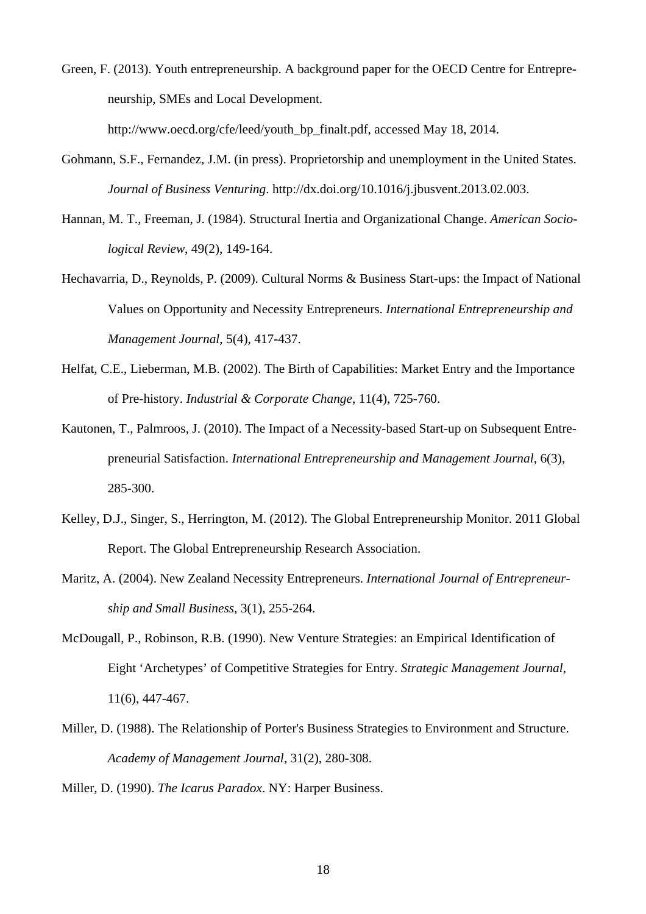Green, F. (2013). Youth entrepreneurship. A background paper for the OECD Centre for Entrepreneurship, SMEs and Local Development.

http://www.oecd.org/cfe/leed/youth\_bp\_finalt.pdf, accessed May 18, 2014.

- Gohmann, S.F., Fernandez, J.M. (in press). Proprietorship and unemployment in the United States. *Journal of Business Venturing*. http://dx.doi.org/10.1016/j.jbusvent.2013.02.003.
- Hannan, M. T., Freeman, J. (1984). Structural Inertia and Organizational Change. *American Sociological Review*, 49(2), 149-164.
- Hechavarria, D., Reynolds, P. (2009). Cultural Norms & Business Start-ups: the Impact of National Values on Opportunity and Necessity Entrepreneurs. *International Entrepreneurship and Management Journal*, 5(4), 417-437.
- Helfat, C.E., Lieberman, M.B. (2002). The Birth of Capabilities: Market Entry and the Importance of Pre-history. *Industrial & Corporate Change*, 11(4), 725-760.
- Kautonen, T., Palmroos, J. (2010). The Impact of a Necessity-based Start-up on Subsequent Entrepreneurial Satisfaction. *International Entrepreneurship and Management Journal*, 6(3), 285-300.
- Kelley, D.J., Singer, S., Herrington, M. (2012). The Global Entrepreneurship Monitor. 2011 Global Report. The Global Entrepreneurship Research Association.
- Maritz, A. (2004). New Zealand Necessity Entrepreneurs. *International Journal of Entrepreneurship and Small Business*, 3(1), 255-264.
- McDougall, P., Robinson, R.B. (1990). New Venture Strategies: an Empirical Identification of Eight 'Archetypes' of Competitive Strategies for Entry. *Strategic Management Journal*, 11(6), 447-467.
- Miller, D. (1988). The Relationship of Porter's Business Strategies to Environment and Structure. *Academy of Management Journal*, 31(2), 280-308.

Miller, D. (1990). *The Icarus Paradox*. NY: Harper Business.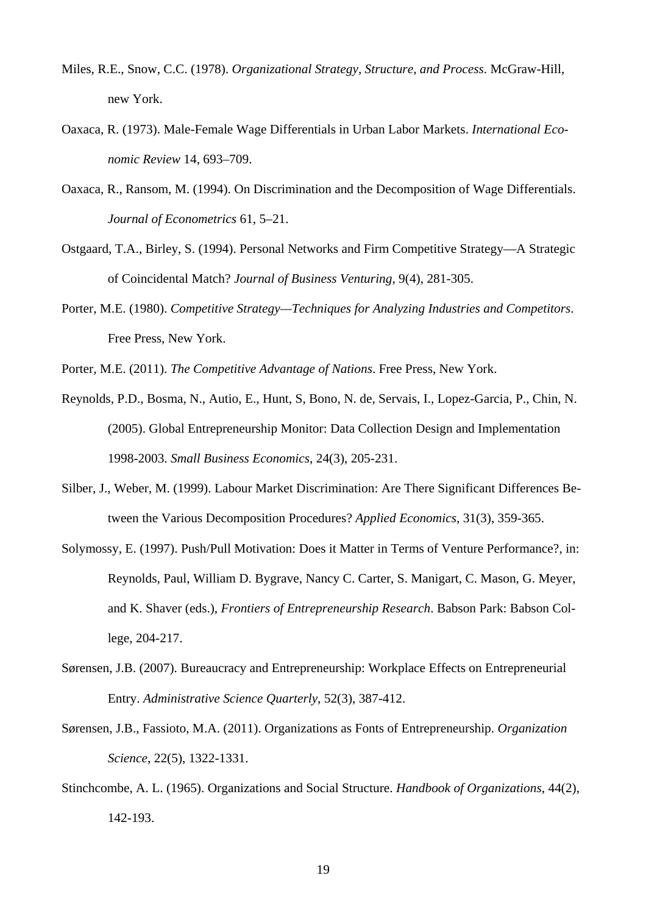- Miles, R.E., Snow, C.C. (1978). *Organizational Strategy, Structure, and Process*. McGraw-Hill, new York.
- Oaxaca, R. (1973). Male-Female Wage Differentials in Urban Labor Markets. *International Economic Review* 14, 693–709.
- Oaxaca, R., Ransom, M. (1994). On Discrimination and the Decomposition of Wage Differentials. *Journal of Econometrics* 61, 5–21.
- Ostgaard, T.A., Birley, S. (1994). Personal Networks and Firm Competitive Strategy—A Strategic of Coincidental Match? *Journal of Business Venturing*, 9(4), 281-305.
- Porter, M.E. (1980). *Competitive Strategy—Techniques for Analyzing Industries and Competitors*. Free Press, New York.

Porter, M.E. (2011). *The Competitive Advantage of Nations*. Free Press, New York.

- Reynolds, P.D., Bosma, N., Autio, E., Hunt, S, Bono, N. de, Servais, I., Lopez-Garcia, P., Chin, N. (2005). Global Entrepreneurship Monitor: Data Collection Design and Implementation 1998-2003. *Small Business Economics*, 24(3), 205-231.
- Silber, J., Weber, M. (1999). Labour Market Discrimination: Are There Significant Differences Between the Various Decomposition Procedures? *Applied Economics*, 31(3), 359-365.
- Solymossy, E. (1997). Push/Pull Motivation: Does it Matter in Terms of Venture Performance?, in: Reynolds, Paul, William D. Bygrave, Nancy C. Carter, S. Manigart, C. Mason, G. Meyer, and K. Shaver (eds.), *Frontiers of Entrepreneurship Research*. Babson Park: Babson College, 204-217.
- Sørensen, J.B. (2007). Bureaucracy and Entrepreneurship: Workplace Effects on Entrepreneurial Entry. *Administrative Science Quarterly*, 52(3), 387-412.
- Sørensen, J.B., Fassioto, M.A. (2011). Organizations as Fonts of Entrepreneurship. *Organization Science*, 22(5), 1322-1331.
- Stinchcombe, A. L. (1965). Organizations and Social Structure. *Handbook of Organizations*, 44(2), 142-193.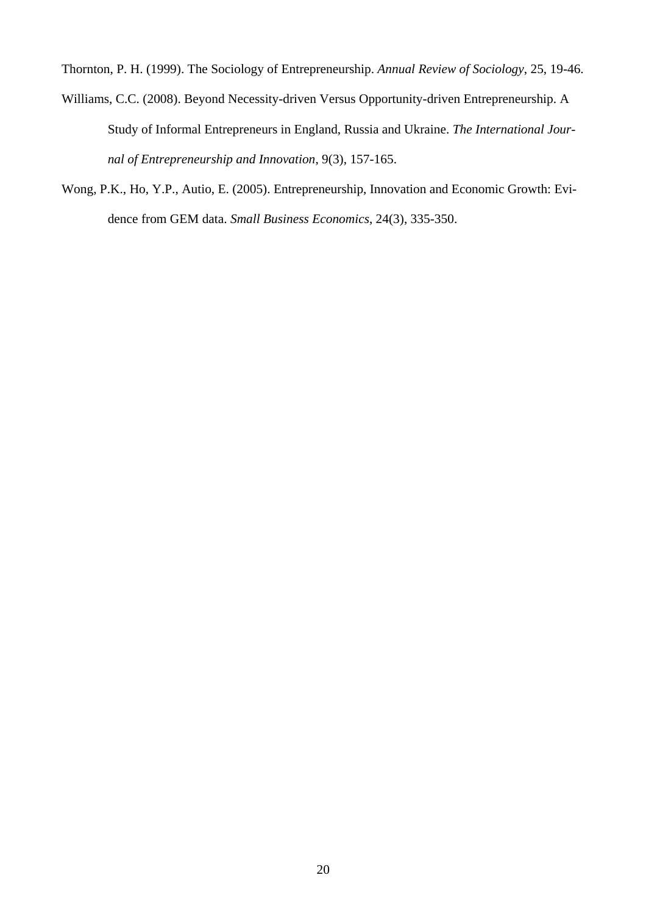Thornton, P. H. (1999). The Sociology of Entrepreneurship. *Annual Review of Sociology*, 25, 19-46.

- Williams, C.C. (2008). Beyond Necessity-driven Versus Opportunity-driven Entrepreneurship. A Study of Informal Entrepreneurs in England, Russia and Ukraine. *The International Journal of Entrepreneurship and Innovation*, 9(3), 157-165.
- Wong, P.K., Ho, Y.P., Autio, E. (2005). Entrepreneurship, Innovation and Economic Growth: Evidence from GEM data. *Small Business Economics*, 24(3), 335-350.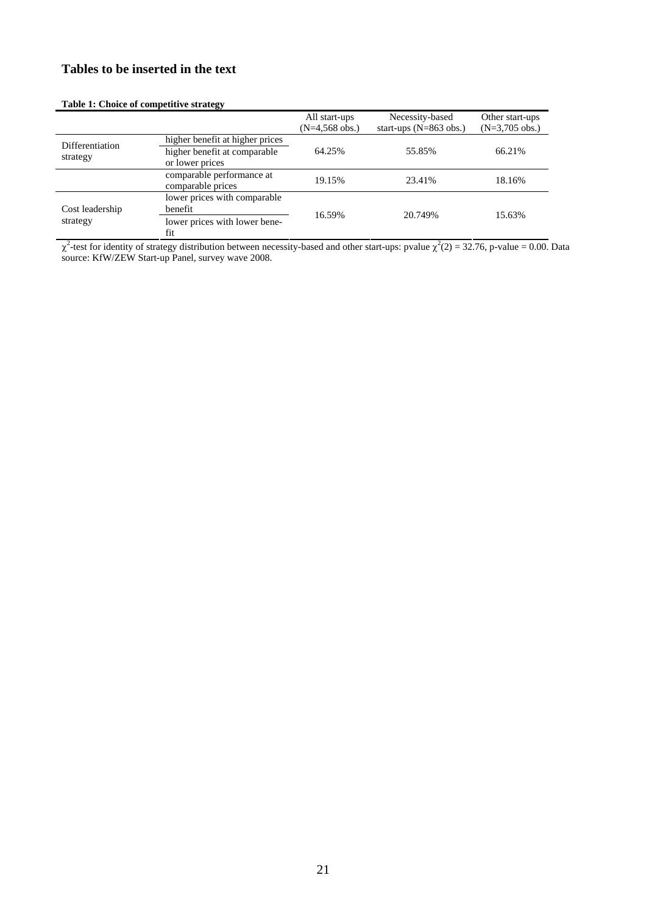#### **Tables to be inserted in the text**

#### **Table 1: Choice of competitive strategy**

| Table 1: Choice of competitive strategy |                                 |                  |                          |                  |
|-----------------------------------------|---------------------------------|------------------|--------------------------|------------------|
|                                         |                                 | All start-ups    | Necessity-based          | Other start-ups  |
|                                         |                                 | $(N=4,568$ obs.) | start-ups $(N=863$ obs.) | $(N=3,705$ obs.) |
| Differentiation                         | higher benefit at higher prices |                  |                          |                  |
| strategy                                | higher benefit at comparable    | 64.25%           | 55.85%                   | 66.21%           |
|                                         | or lower prices                 |                  |                          |                  |
|                                         | comparable performance at       | 19.15%           | 23.41%                   | 18.16%           |
|                                         | comparable prices               |                  |                          |                  |
|                                         | lower prices with comparable    |                  |                          |                  |
| Cost leadership                         | benefit                         | 16.59%           | 20.749%                  | 15.63%           |
| strategy                                | lower prices with lower bene-   |                  |                          |                  |
|                                         | fit                             |                  |                          |                  |

 $\chi^2$ -test for identity of strategy distribution between necessity-based and other start-ups: pvalue  $\chi^2(2) = 32.76$ , p-value = 0.00. Data source: KfW/ZEW Start-up Panel, survey wave 2008.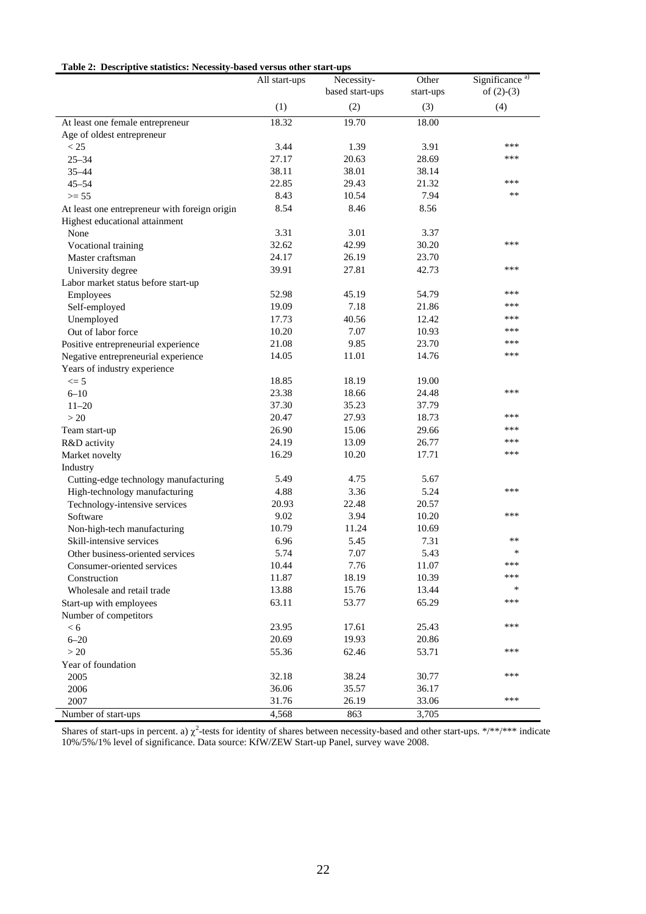| Table 2: Descriptive statistics: Necessity-based versus other start-ups |  |
|-------------------------------------------------------------------------|--|
|-------------------------------------------------------------------------|--|

| <b>D</b> Cacker<br>Tuve staustics. Trecessity | -разси уствия опист знатичиря<br>All start-ups | Necessity-<br>based start-ups | Other<br>start-ups | Significance <sup>a)</sup><br>of $(2)-(3)$ |
|-----------------------------------------------|------------------------------------------------|-------------------------------|--------------------|--------------------------------------------|
|                                               | (1)                                            | (2)                           | (3)                | (4)                                        |
| At least one female entrepreneur              | 18.32                                          | 19.70                         | 18.00              |                                            |
| Age of oldest entrepreneur                    |                                                |                               |                    |                                            |
| < 25                                          | 3.44                                           | 1.39                          | 3.91               | ***                                        |
| $25 - 34$                                     | 27.17                                          | 20.63                         | 28.69              | ***                                        |
| $35 - 44$                                     | 38.11                                          | 38.01                         | 38.14              |                                            |
| $45 - 54$                                     | 22.85                                          | 29.43                         | 21.32              | ***                                        |
| $>= 55$                                       | 8.43                                           | 10.54                         | 7.94               | $**$                                       |
| At least one entrepreneur with foreign origin | 8.54                                           | 8.46                          | 8.56               |                                            |
| Highest educational attainment                |                                                |                               |                    |                                            |
| None                                          | 3.31                                           | 3.01                          | 3.37               |                                            |
| Vocational training                           | 32.62                                          | 42.99                         | 30.20              | ***                                        |
| Master craftsman                              | 24.17                                          | 26.19                         | 23.70              |                                            |
| University degree                             | 39.91                                          | 27.81                         | 42.73              | ***                                        |
| Labor market status before start-up           |                                                |                               |                    |                                            |
| Employees                                     | 52.98                                          | 45.19                         | 54.79              | ***                                        |
| Self-employed                                 | 19.09                                          | 7.18                          | 21.86              | ***                                        |
| Unemployed                                    | 17.73                                          | 40.56                         | 12.42              | ***                                        |
| Out of labor force                            | 10.20                                          | 7.07                          | 10.93              | ***                                        |
| Positive entrepreneurial experience           | 21.08                                          | 9.85                          | 23.70              | ***                                        |
| Negative entrepreneurial experience           | 14.05                                          | 11.01                         | 14.76              | ***                                        |
| Years of industry experience                  |                                                |                               |                    |                                            |
| $\leq$ 5                                      | 18.85                                          | 18.19                         | 19.00              |                                            |
| $6 - 10$                                      | 23.38                                          | 18.66                         | 24.48              | ***                                        |
| $11 - 20$                                     | 37.30                                          | 35.23                         | 37.79              |                                            |
|                                               | 20.47                                          | 27.93                         | 18.73              | ***                                        |
| >20                                           | 26.90                                          | 15.06                         | 29.66              | ***                                        |
| Team start-up                                 | 24.19                                          | 13.09                         | 26.77              | ***                                        |
| R&D activity                                  | 16.29                                          | 10.20                         | 17.71              | ***                                        |
| Market novelty                                |                                                |                               |                    |                                            |
| Industry                                      |                                                |                               |                    |                                            |
| Cutting-edge technology manufacturing         | 5.49                                           | 4.75                          | 5.67               | ***                                        |
| High-technology manufacturing                 | 4.88                                           | 3.36                          | 5.24               |                                            |
| Technology-intensive services                 | 20.93                                          | 22.48                         | 20.57              | ***                                        |
| Software                                      | 9.02                                           | 3.94                          | 10.20              |                                            |
| Non-high-tech manufacturing                   | 10.79                                          | 11.24                         | 10.69              |                                            |
| Skill-intensive services                      | 6.96                                           | 5.45                          | 7.31               | **<br>$\ast$                               |
| Other business-oriented services              | 5.74                                           | 7.07                          | 5.43               |                                            |
| Consumer-oriented services                    | 10.44                                          | 7.76                          | 11.07              | ***                                        |
| Construction                                  | 11.87                                          | 18.19                         | 10.39              | ***                                        |
| Wholesale and retail trade                    | 13.88                                          | 15.76                         | 13.44              | $\ast$                                     |
| Start-up with employees                       | 63.11                                          | 53.77                         | 65.29              | ***                                        |
| Number of competitors                         |                                                |                               |                    |                                            |
| < 6                                           | 23.95                                          | 17.61                         | 25.43              | ***                                        |
| $6 - 20$                                      | 20.69                                          | 19.93                         | 20.86              |                                            |
| $>20\,$                                       | 55.36                                          | 62.46                         | 53.71              | ***                                        |
| Year of foundation                            |                                                |                               |                    |                                            |
| 2005                                          | 32.18                                          | 38.24                         | 30.77              | ***                                        |
| 2006                                          | 36.06                                          | 35.57                         | 36.17              |                                            |
| 2007                                          | 31.76                                          | 26.19                         | 33.06              | ***                                        |
| Number of start-ups                           | 4,568                                          | 863                           | 3,705              |                                            |

Shares of start-ups in percent. a)  $\chi^2$ -tests for identity of shares between necessity-based and other start-ups. \*/\*\*/\*\*\* indicate 10%/5%/1% level of significance. Data source: KfW/ZEW Start-up Panel, survey wave 2008.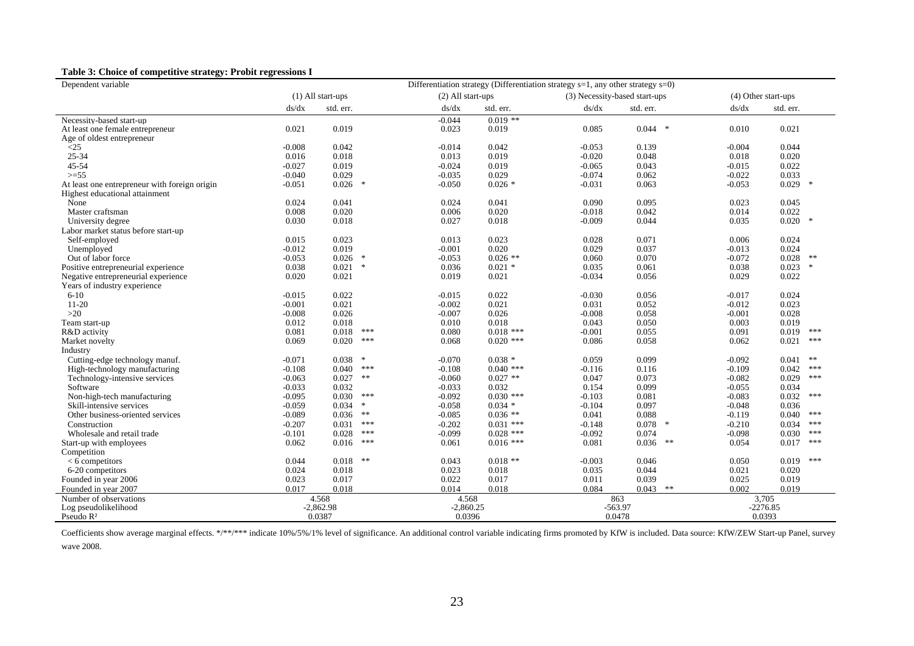#### **Table 3: Choice of competitive strategy: Probit regressions I**

| Dependent variable                            | Differentiation strategy (Differentiation strategy s=1, any other strategy s=0) |                   |               |                   |             |                               |                 |                     |                  |
|-----------------------------------------------|---------------------------------------------------------------------------------|-------------------|---------------|-------------------|-------------|-------------------------------|-----------------|---------------------|------------------|
|                                               |                                                                                 | (1) All start-ups |               | (2) All start-ups |             | (3) Necessity-based start-ups |                 | (4) Other start-ups |                  |
|                                               | ds/dx                                                                           | std. err.         |               | ds/dx             | std. err.   | ds/dx                         | std. err.       | ds/dx               | std. err.        |
| Necessity-based start-up                      |                                                                                 |                   |               | $-0.044$          | $0.019**$   |                               |                 |                     |                  |
| At least one female entrepreneur              | 0.021                                                                           | 0.019             |               | 0.023             | 0.019       | 0.085                         | 0.044<br>$\ast$ | 0.010               | 0.021            |
| Age of oldest entrepreneur                    |                                                                                 |                   |               |                   |             |                               |                 |                     |                  |
| $<$ 25                                        | $-0.008$                                                                        | 0.042             |               | $-0.014$          | 0.042       | $-0.053$                      | 0.139           | $-0.004$            | 0.044            |
| 25-34                                         | 0.016                                                                           | 0.018             |               | 0.013             | 0.019       | $-0.020$                      | 0.048           | 0.018               | 0.020            |
| $45 - 54$                                     | $-0.027$                                                                        | 0.019             |               | $-0.024$          | 0.019       | $-0.065$                      | 0.043           | $-0.015$            | 0.022            |
| $>=55$                                        | $-0.040$                                                                        | 0.029             |               | $-0.035$          | 0.029       | $-0.074$                      | 0.062           | $-0.022$            | 0.033            |
| At least one entrepreneur with foreign origin | $-0.051$                                                                        | $0.026$ *         |               | $-0.050$          | $0.026*$    | $-0.031$                      | 0.063           | $-0.053$            | 0.029<br>$\ast$  |
| Highest educational attainment                |                                                                                 |                   |               |                   |             |                               |                 |                     |                  |
| None                                          | 0.024                                                                           | 0.041             |               | 0.024             | 0.041       | 0.090                         | 0.095           | 0.023               | 0.045            |
| Master craftsman                              | 0.008                                                                           | 0.020             |               | 0.006             | 0.020       | $-0.018$                      | 0.042           | 0.014               | 0.022            |
| University degree                             | 0.030                                                                           | 0.018             |               | 0.027             | 0.018       | $-0.009$                      | 0.044           | 0.035               | 0.020            |
| Labor market status before start-up           |                                                                                 |                   |               |                   |             |                               |                 |                     |                  |
| Self-employed                                 | 0.015                                                                           | 0.023             |               | 0.013             | 0.023       | 0.028                         | 0.071           | 0.006               | 0.024            |
| Unemployed                                    | $-0.012$                                                                        | 0.019             |               | $-0.001$          | 0.020       | 0.029                         | 0.037           | $-0.013$            | 0.024            |
| Out of labor force                            | $-0.053$                                                                        | 0.026             | 米             | $-0.053$          | $0.026$ **  | 0.060                         | 0.070           | $-0.072$            | 0.028<br>**      |
| Positive entrepreneurial experience           | 0.038                                                                           | 0.021             | $\ast$        | 0.036             | $0.021$ *   | 0.035                         | 0.061           | 0.038               | 0.023<br>$\gg$   |
| Negative entrepreneurial experience           | 0.020                                                                           | 0.021             |               | 0.019             | 0.021       | $-0.034$                      | 0.056           | 0.029               | 0.022            |
| Years of industry experience                  |                                                                                 |                   |               |                   |             |                               |                 |                     |                  |
| $6 - 10$                                      | $-0.015$                                                                        | 0.022             |               | $-0.015$          | 0.022       | $-0.030$                      | 0.056           | $-0.017$            | 0.024            |
| $11-20$                                       | $-0.001$                                                                        | 0.021             |               | $-0.002$          | 0.021       | 0.031                         | 0.052           | $-0.012$            | 0.023            |
| $>20$                                         | $-0.008$                                                                        | 0.026             |               | $-0.007$          | 0.026       | $-0.008$                      | 0.058           | $-0.001$            | 0.028            |
| Team start-up                                 | 0.012                                                                           | 0.018             |               | 0.010             | 0.018       | 0.043                         | 0.050           | 0.003               | 0.019            |
| R&D activity                                  | 0.081                                                                           | 0.018             | ***           | 0.080             | $0.018$ *** | $-0.001$                      | 0.055           | 0.091               | $* * *$<br>0.019 |
| Market novelty                                | 0.069                                                                           | 0.020             | ***           | 0.068             | $0.020$ *** | 0.086                         | 0.058           | 0.062               | 0.021<br>***     |
| Industry                                      |                                                                                 |                   |               |                   |             |                               |                 |                     |                  |
| Cutting-edge technology manuf.                | $-0.071$                                                                        | 0.038             | $\ast$        | $-0.070$          | $0.038*$    | 0.059                         | 0.099           | $-0.092$            | 0.041<br>**      |
| High-technology manufacturing                 | $-0.108$                                                                        | 0.040             | ***           | $-0.108$          | $0.040$ *** | $-0.116$                      | 0.116           | $-0.109$            | ***<br>0.042     |
| Technology-intensive services                 | $-0.063$                                                                        | 0.027             | $\ast$        | $-0.060$          | $0.027$ **  | 0.047                         | 0.073           | $-0.082$            | 0.029<br>***     |
| Software                                      | $-0.033$                                                                        | 0.032             |               | $-0.033$          | 0.032       | 0.154                         | 0.099           | $-0.055$            | 0.034            |
| Non-high-tech manufacturing                   | $-0.095$                                                                        | 0.030             | ***           | $-0.092$          | $0.030$ *** | $-0.103$                      | 0.081           | $-0.083$            | 0.032<br>***     |
| Skill-intensive services                      | $-0.059$                                                                        | 0.034             | $\,$ $\,$     | $-0.058$          | $0.034*$    | $-0.104$                      | 0.097           | $-0.048$            | 0.036            |
| Other business-oriented services              | $-0.089$                                                                        | 0.036             | $\ast$ $\ast$ | $-0.085$          | $0.036$ **  | 0.041                         | 0.088           | $-0.119$            | 0.040<br>***     |
| Construction                                  | $-0.207$                                                                        | 0.031             | ***           | $-0.202$          | $0.031$ *** | $-0.148$                      | 0.078<br>$\ast$ | $-0.210$            | 0.034<br>***     |
| Wholesale and retail trade                    | $-0.101$                                                                        | 0.028             | ***           | $-0.099$          | $0.028$ *** | $-0.092$                      | 0.074           | $-0.098$            | 0.030<br>***     |
| Start-up with employees                       | 0.062                                                                           | 0.016             | ***           | 0.061             | $0.016$ *** | 0.081                         | 0.036<br>**     | 0.054               | 0.017<br>***     |
| Competition                                   |                                                                                 |                   |               |                   |             |                               |                 |                     |                  |
| $< 6$ competitors                             | 0.044                                                                           | 0.018             | $\ast\ast$    | 0.043             | $0.018$ **  | $-0.003$                      | 0.046           | 0.050               | 0.019<br>***     |
| 6-20 competitors                              | 0.024                                                                           | 0.018             |               | 0.023             | 0.018       | 0.035                         | 0.044           | 0.021               | 0.020            |
| Founded in year 2006                          | 0.023                                                                           | 0.017             |               | 0.022             | 0.017       | 0.011                         | 0.039           | 0.025               | 0.019            |
| Founded in year 2007                          | 0.017                                                                           | 0.018             |               | 0.014             | 0.018       | 0.084                         | $0.043$ **      | 0.002               | 0.019            |
| Number of observations                        |                                                                                 | 4.568             |               | 4.568             |             | 863                           |                 |                     | 3,705            |
| Log pseudolikelihood                          |                                                                                 | $-2,862.98$       |               | $-2,860.25$       |             | $-563.97$                     |                 |                     | $-2276.85$       |
| Pseudo R <sup>2</sup>                         |                                                                                 | 0.0387            |               | 0.0396            |             | 0.0478                        |                 | 0.0393              |                  |

Coefficients show average marginal effects. \*/\*\*/\*\*\* indicate 10%/5%/1% level of significance. An additional control variable indicating firms promoted by KfW is included. Data source: KfW/ZEW Start-up Panel, survey wave 2008.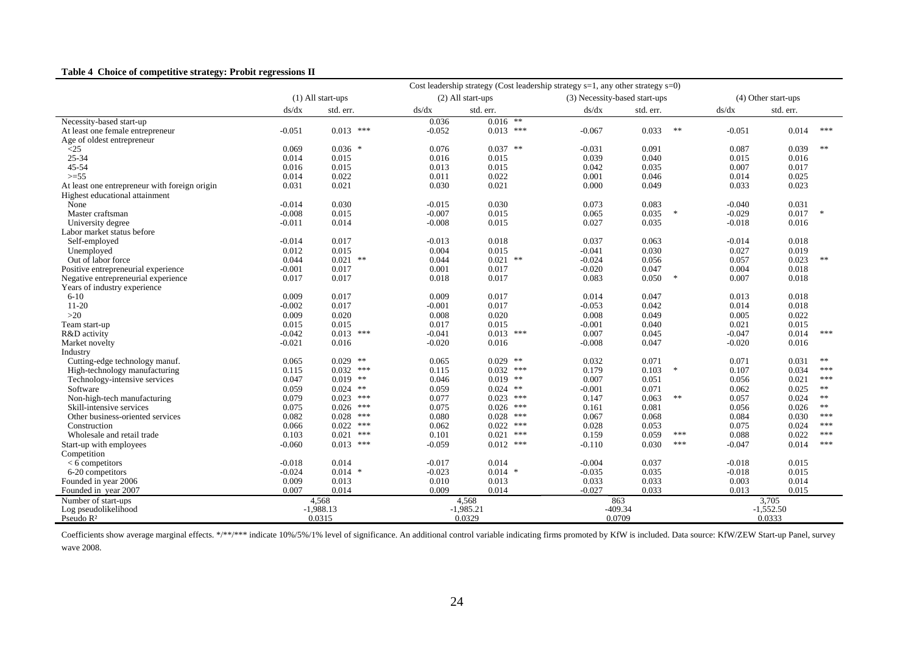#### **Table 4 Choice of competitive strategy: Probit regressions II**

|                                                                            | Cost leadership strategy (Cost leadership strategy s=1, any other strategy s=0) |                         |                   |                                |                               |                     |                     |                     |
|----------------------------------------------------------------------------|---------------------------------------------------------------------------------|-------------------------|-------------------|--------------------------------|-------------------------------|---------------------|---------------------|---------------------|
|                                                                            | $(1)$ All start-ups                                                             |                         |                   | $(2)$ All start-ups            | (3) Necessity-based start-ups |                     | (4) Other start-ups |                     |
|                                                                            | ds/dx                                                                           | std. err.               | ds/dx             | std. err.                      | ds/dx                         | std. err.           | ds/dx               | std. err.           |
| Necessity-based start-up<br>At least one female entrepreneur               | $-0.051$                                                                        | $0.013$ ***             | 0.036<br>$-0.052$ | $0.016$ **<br>$0.013$ ***      | $-0.067$                      | $\ast$<br>0.033     | $-0.051$            | 0.014<br>***        |
| Age of oldest entrepreneur                                                 |                                                                                 |                         |                   |                                |                               |                     |                     |                     |
| <25                                                                        | 0.069                                                                           | $0.036$ *               | 0.076             | $0.037$ **                     | $-0.031$                      | 0.091               | 0.087               | 0.039<br>**         |
| 25-34                                                                      | 0.014                                                                           | 0.015                   | 0.016             | 0.015                          | 0.039                         | 0.040               | 0.015               | 0.016               |
| 45-54                                                                      | 0.016                                                                           | 0.015                   | 0.013             | 0.015                          | 0.042                         | 0.035               | 0.007               | 0.017               |
| $>=55$                                                                     | 0.014                                                                           | 0.022                   | 0.011             | 0.022                          | 0.001                         | 0.046               | 0.014               | 0.025               |
| At least one entrepreneur with foreign origin                              | 0.031                                                                           | 0.021                   | 0.030             | 0.021                          | 0.000                         | 0.049               | 0.033               | 0.023               |
| Highest educational attainment                                             |                                                                                 |                         |                   |                                |                               |                     |                     |                     |
| None                                                                       | $-0.014$                                                                        | 0.030                   | $-0.015$          | 0.030                          | 0.073                         | 0.083               | $-0.040$            | 0.031               |
| Master craftsman                                                           | $-0.008$                                                                        | 0.015                   | $-0.007$          | 0.015                          | 0.065                         | 0.035<br>$\ast$     | $-0.029$            | 0.017<br>$\ast$     |
| University degree                                                          | $-0.011$                                                                        | 0.014                   | $-0.008$          | 0.015                          | 0.027                         | 0.035               | $-0.018$            | 0.016               |
| Labor market status before                                                 |                                                                                 |                         |                   |                                |                               |                     |                     |                     |
| Self-employed                                                              | $-0.014$                                                                        | 0.017                   | $-0.013$          | 0.018                          | 0.037                         | 0.063               | $-0.014$            | 0.018               |
| Unemployed                                                                 | 0.012                                                                           | 0.015<br>冰冰             | 0.004             | 0.015<br>**                    | $-0.041$                      | 0.030               | 0.027               | 0.019<br>$\ast\ast$ |
| Out of labor force                                                         | 0.044                                                                           | 0.021<br>0.017          | 0.044<br>0.001    | 0.021<br>0.017                 | $-0.024$<br>$-0.020$          | 0.056<br>0.047      | 0.057<br>0.004      | 0.023<br>0.018      |
| Positive entrepreneurial experience<br>Negative entrepreneurial experience | $-0.001$<br>0.017                                                               | 0.017                   | 0.018             | 0.017                          | 0.083                         | 0.050<br>$\ast$     | 0.007               | 0.018               |
| Years of industry experience                                               |                                                                                 |                         |                   |                                |                               |                     |                     |                     |
| $6 - 10$                                                                   | 0.009                                                                           | 0.017                   | 0.009             | 0.017                          | 0.014                         | 0.047               | 0.013               | 0.018               |
| $11 - 20$                                                                  | $-0.002$                                                                        | 0.017                   | $-0.001$          | 0.017                          | $-0.053$                      | 0.042               | 0.014               | 0.018               |
| >20                                                                        | 0.009                                                                           | 0.020                   | 0.008             | 0.020                          | 0.008                         | 0.049               | 0.005               | 0.022               |
| Team start-up                                                              | 0.015                                                                           | 0.015                   | 0.017             | 0.015                          | $-0.001$                      | 0.040               | 0.021               | 0.015               |
| R&D activity                                                               | $-0.042$                                                                        | $0.013$ ***             | $-0.041$          | $0.013$ ***                    | 0.007                         | 0.045               | $-0.047$            | ***<br>0.014        |
| Market novelty                                                             | $-0.021$                                                                        | 0.016                   | $-0.020$          | 0.016                          | $-0.008$                      | 0.047               | $-0.020$            | 0.016               |
| Industry                                                                   |                                                                                 |                         |                   |                                |                               |                     |                     |                     |
| Cutting-edge technology manuf.                                             | 0.065                                                                           | $0.029$ **              | 0.065             | $0.029$ **                     | 0.032                         | 0.071               | 0.071               | $\ast\ast$<br>0.031 |
| High-technology manufacturing                                              | 0.115                                                                           | $0.032$ ***             | 0.115             | $0.032$ ***                    | 0.179                         | 0.103<br>$\ast$     | 0.107               | ***<br>0.034        |
| Technology-intensive services                                              | 0.047                                                                           | 冰冰<br>0.019             | 0.046             | $0.019$ **                     | 0.007                         | 0.051               | 0.056               | ***<br>0.021        |
| Software                                                                   | 0.059                                                                           | $0.024$ **              | 0.059             | $0.024$ **                     | $-0.001$                      | 0.071               | 0.062               | 0.025<br>$\ast\ast$ |
| Non-high-tech manufacturing                                                | 0.079                                                                           | 0.023<br>***            | 0.077             | $0.023$ ***                    | 0.147                         | $\ast\ast$<br>0.063 | 0.057               | $\ast\ast$<br>0.024 |
| Skill-intensive services                                                   | 0.075                                                                           | ***<br>0.026            | 0.075             | ***<br>0.026                   | 0.161                         | 0.081               | 0.056               | $\ast\ast$<br>0.026 |
| Other business-oriented services                                           | 0.082                                                                           | 0.028<br>***            | 0.080             | ***<br>0.028                   | 0.067                         | 0.068               | 0.084               | ***<br>0.030        |
| Construction                                                               | 0.066                                                                           | 0.022<br>***<br>$* * *$ | 0.062             | 0.022<br>***<br>$\ast\ast\ast$ | 0.028                         | 0.053<br>$* * *$    | 0.075               | ***<br>0.024<br>*** |
| Wholesale and retail trade                                                 | 0.103                                                                           | 0.021                   | 0.101             | 0.021                          | 0.159                         | 0.059<br>***        | 0.088               | 0.022<br>***        |
| Start-up with employees                                                    | $-0.060$                                                                        | $0.013$ ***             | $-0.059$          | $0.012$ ***                    | $-0.110$                      | 0.030               | $-0.047$            | 0.014               |
| Competition<br>$<$ 6 competitors                                           | $-0.018$                                                                        | 0.014                   | $-0.017$          | 0.014                          | $-0.004$                      | 0.037               | $-0.018$            | 0.015               |
| 6-20 competitors                                                           | $-0.024$                                                                        | $0.014$ *               | $-0.023$          | $0.014$ *                      | $-0.035$                      | 0.035               | $-0.018$            | 0.015               |
| Founded in year 2006                                                       | 0.009                                                                           | 0.013                   | 0.010             | 0.013                          | 0.033                         | 0.033               | 0.003               | 0.014               |
| Founded in year 2007                                                       | 0.007                                                                           | 0.014                   | 0.009             | 0.014                          | $-0.027$                      | 0.033               | 0.013               | 0.015               |
| Number of start-ups                                                        |                                                                                 | 4,568                   |                   | 4,568                          | 863                           |                     |                     | 3,705               |
| Log pseudolikelihood                                                       |                                                                                 | $-1,988.13$             |                   | $-1,985.21$                    | $-409.34$                     |                     |                     | $-1,552.50$         |
| Pseudo R <sup>2</sup>                                                      |                                                                                 | 0.0315                  |                   | 0.0329                         | 0.0709                        |                     |                     | 0.0333              |

Coefficients show average marginal effects. \*/\*\*/\*\*\* indicate 10%/5%/1% level of significance. An additional control variable indicating firms promoted by KfW is included. Data source: KfW/ZEW Start-up Panel, survey wave 2008.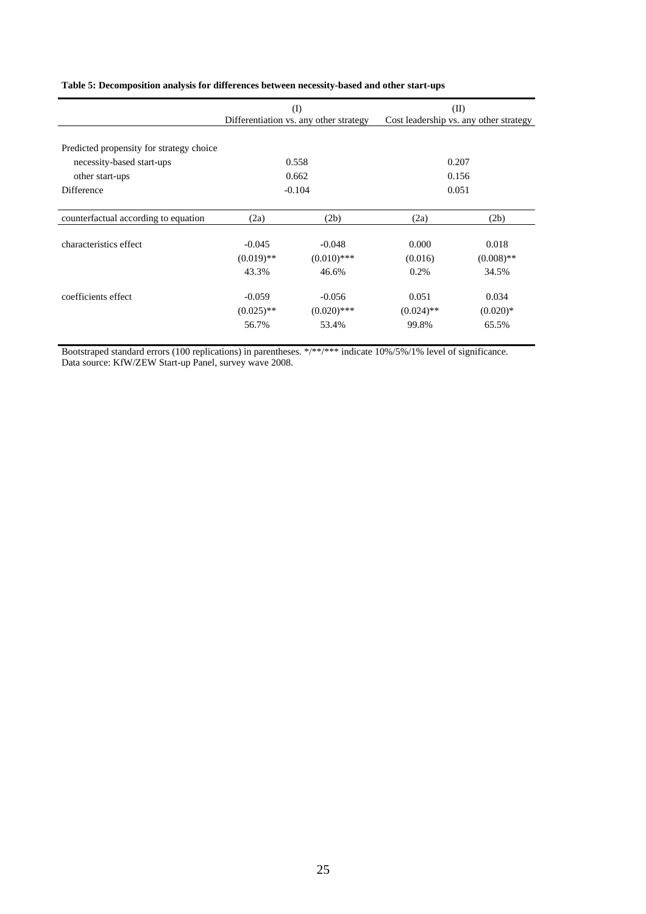| Table 5: Decomposition analysis for differences between necessity-based and other start-ups |  |  |
|---------------------------------------------------------------------------------------------|--|--|
|---------------------------------------------------------------------------------------------|--|--|

|                                          |                          | (I)<br>Differentiation vs. any other strategy | (II)<br>Cost leadership vs. any other strategy |                       |  |
|------------------------------------------|--------------------------|-----------------------------------------------|------------------------------------------------|-----------------------|--|
| Predicted propensity for strategy choice |                          |                                               |                                                |                       |  |
| necessity-based start-ups                |                          | 0.558                                         |                                                | 0.207                 |  |
| other start-ups                          | 0.662                    |                                               |                                                | 0.156                 |  |
| Difference                               | $-0.104$                 |                                               | 0.051                                          |                       |  |
|                                          |                          |                                               |                                                |                       |  |
| counterfactual according to equation     | (2a)                     | (2b)                                          | (2a)                                           | (2b)                  |  |
| characteristics effect                   | $-0.045$<br>$(0.019)$ ** | $-0.048$<br>$(0.010)$ ***                     | 0.000<br>(0.016)                               | 0.018<br>$(0.008)$ ** |  |
|                                          | 43.3%                    | 46.6%                                         | 0.2%                                           | 34.5%                 |  |
| coefficients effect                      | $-0.059$                 | $-0.056$                                      | 0.051                                          | 0.034                 |  |
|                                          | $(0.025)$ **<br>56.7%    | $(0.020)$ ***<br>53.4%                        | $(0.024)$ **<br>99.8%                          | $(0.020)*$<br>65.5%   |  |

Bootstraped standard errors (100 replications) in parentheses. \*/\*\*/\*\*\* indicate 10%/5%/1% level of significance. Data source: KfW/ZEW Start-up Panel, survey wave 2008.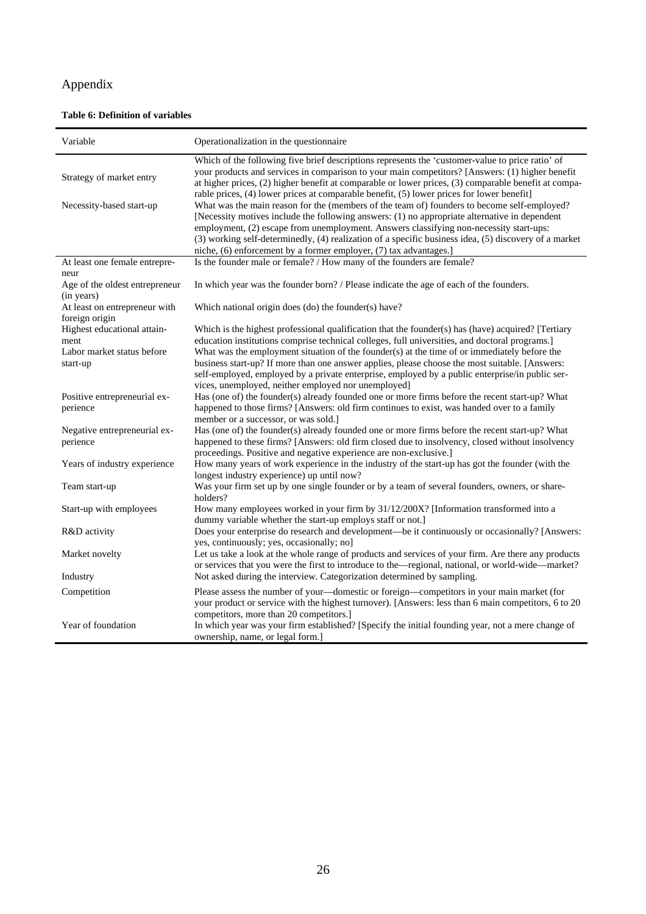### Appendix

#### **Table 6: Definition of variables**

| Variable                                                                      | Operationalization in the questionnaire                                                                                                                                                                                                                                                                                                                                                                                                                                                                                                                          |
|-------------------------------------------------------------------------------|------------------------------------------------------------------------------------------------------------------------------------------------------------------------------------------------------------------------------------------------------------------------------------------------------------------------------------------------------------------------------------------------------------------------------------------------------------------------------------------------------------------------------------------------------------------|
| Strategy of market entry                                                      | Which of the following five brief descriptions represents the 'customer-value to price ratio' of<br>your products and services in comparison to your main competitors? [Answers: (1) higher benefit<br>at higher prices, (2) higher benefit at comparable or lower prices, (3) comparable benefit at compa-<br>rable prices, (4) lower prices at comparable benefit, (5) lower prices for lower benefit]                                                                                                                                                         |
| Necessity-based start-up                                                      | What was the main reason for the (members of the team of) founders to become self-employed?<br>[Necessity motives include the following answers: (1) no appropriate alternative in dependent<br>employment, (2) escape from unemployment. Answers classifying non-necessity start-ups:<br>(3) working self-determinedly, (4) realization of a specific business idea, (5) discovery of a market<br>niche, (6) enforcement by a former employer, (7) tax advantages.]                                                                                             |
| At least one female entrepre-<br>neur                                         | Is the founder male or female? / How many of the founders are female?                                                                                                                                                                                                                                                                                                                                                                                                                                                                                            |
| Age of the oldest entrepreneur<br>(in years)                                  | In which year was the founder born? / Please indicate the age of each of the founders.                                                                                                                                                                                                                                                                                                                                                                                                                                                                           |
| At least on entrepreneur with<br>foreign origin                               | Which national origin does (do) the founder(s) have?                                                                                                                                                                                                                                                                                                                                                                                                                                                                                                             |
| Highest educational attain-<br>ment<br>Labor market status before<br>start-up | Which is the highest professional qualification that the founder(s) has (have) acquired? [Tertiary<br>education institutions comprise technical colleges, full universities, and doctoral programs.]<br>What was the employment situation of the founder(s) at the time of or immediately before the<br>business start-up? If more than one answer applies, please choose the most suitable. [Answers:<br>self-employed, employed by a private enterprise, employed by a public enterprise/in public ser-<br>vices, unemployed, neither employed nor unemployed] |
| Positive entrepreneurial ex-<br>perience                                      | Has (one of) the founder(s) already founded one or more firms before the recent start-up? What<br>happened to those firms? [Answers: old firm continues to exist, was handed over to a family<br>member or a successor, or was sold.]                                                                                                                                                                                                                                                                                                                            |
| Negative entrepreneurial ex-<br>perience                                      | Has (one of) the founder(s) already founded one or more firms before the recent start-up? What<br>happened to these firms? [Answers: old firm closed due to insolvency, closed without insolvency<br>proceedings. Positive and negative experience are non-exclusive.]                                                                                                                                                                                                                                                                                           |
| Years of industry experience                                                  | How many years of work experience in the industry of the start-up has got the founder (with the<br>longest industry experience) up until now?                                                                                                                                                                                                                                                                                                                                                                                                                    |
| Team start-up                                                                 | Was your firm set up by one single founder or by a team of several founders, owners, or share-<br>holders?                                                                                                                                                                                                                                                                                                                                                                                                                                                       |
| Start-up with employees                                                       | How many employees worked in your firm by 31/12/200X? [Information transformed into a<br>dummy variable whether the start-up employs staff or not.]                                                                                                                                                                                                                                                                                                                                                                                                              |
| R&D activity                                                                  | Does your enterprise do research and development—be it continuously or occasionally? [Answers:<br>yes, continuously; yes, occasionally; no]                                                                                                                                                                                                                                                                                                                                                                                                                      |
| Market novelty                                                                | Let us take a look at the whole range of products and services of your firm. Are there any products<br>or services that you were the first to introduce to the—regional, national, or world-wide—market?                                                                                                                                                                                                                                                                                                                                                         |
| Industry                                                                      | Not asked during the interview. Categorization determined by sampling.                                                                                                                                                                                                                                                                                                                                                                                                                                                                                           |
| Competition                                                                   | Please assess the number of your—domestic or foreign—competitors in your main market (for<br>your product or service with the highest turnover). [Answers: less than 6 main competitors, 6 to 20<br>competitors, more than 20 competitors.]                                                                                                                                                                                                                                                                                                                      |
| Year of foundation                                                            | In which year was your firm established? [Specify the initial founding year, not a mere change of<br>ownership, name, or legal form.]                                                                                                                                                                                                                                                                                                                                                                                                                            |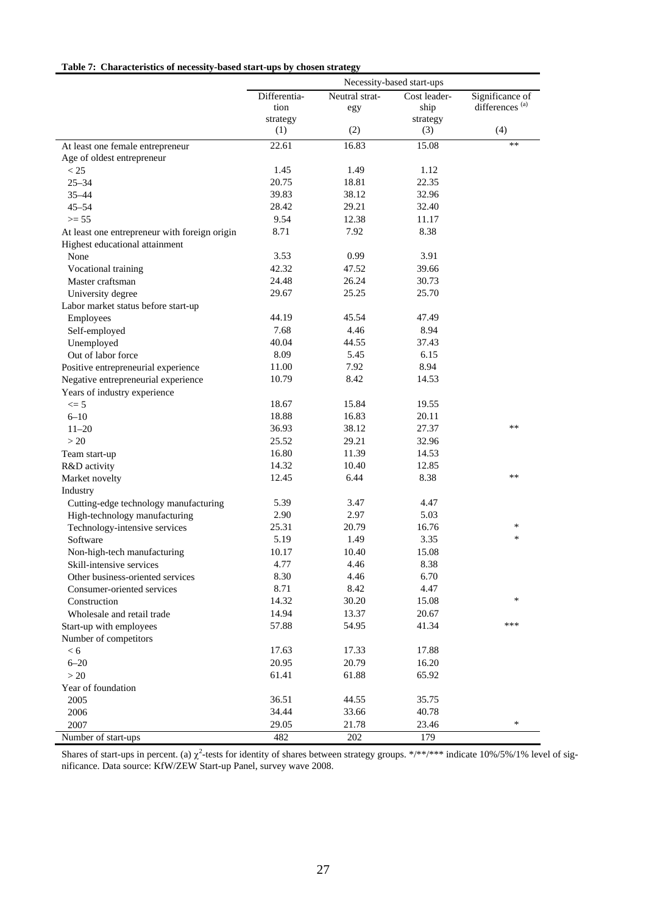| Table 7: Characteristics of necessity-based start-ups by chosen strategy |
|--------------------------------------------------------------------------|
|--------------------------------------------------------------------------|

| Neutral strat-<br>Significance of<br>Differentia-<br>Cost leader-<br>differences <sup>(a)</sup><br>tion<br>ship<br>egy<br>strategy<br>strategy<br>(2)<br>(4)<br>(1)<br>(3)<br>16.83<br>15.08<br>$**$<br>22.61<br>At least one female entrepreneur<br>Age of oldest entrepreneur<br>1.45<br>1.49<br>1.12<br>< 25<br>20.75<br>18.81<br>22.35<br>$25 - 34$<br>39.83<br>38.12<br>32.96<br>$35 - 44$<br>28.42<br>29.21<br>32.40<br>$45 - 54$<br>9.54<br>12.38<br>$>= 55$<br>11.17<br>8.71<br>7.92<br>8.38<br>At least one entrepreneur with foreign origin<br>Highest educational attainment<br>3.53<br>0.99<br>3.91<br>None<br>42.32<br>47.52<br>39.66<br>Vocational training<br>24.48<br>26.24<br>30.73<br>Master craftsman<br>29.67<br>25.25<br>25.70<br>University degree<br>Labor market status before start-up<br>44.19<br>45.54<br>Employees<br>47.49<br>4.46<br>7.68<br>8.94<br>Self-employed<br>40.04<br>44.55<br>37.43<br>Unemployed<br>8.09<br>6.15<br>Out of labor force<br>5.45<br>8.94<br>11.00<br>7.92<br>Positive entrepreneurial experience<br>10.79<br>8.42<br>14.53<br>Negative entrepreneurial experience<br>Years of industry experience<br>18.67<br>15.84<br>19.55<br>$\leq$ 5<br>18.88<br>16.83<br>20.11<br>$6 - 10$<br>$***$<br>36.93<br>38.12<br>27.37<br>$11 - 20$<br>>20<br>25.52<br>29.21<br>32.96<br>16.80<br>11.39<br>14.53<br>Team start-up<br>14.32<br>10.40<br>12.85<br>R&D activity<br>$***$<br>12.45<br>6.44<br>8.38<br>Market novelty<br>Industry<br>5.39<br>4.47<br>Cutting-edge technology manufacturing<br>3.47<br>2.90<br>2.97<br>5.03<br>High-technology manufacturing<br>∗<br>25.31<br>20.79<br>16.76<br>Technology-intensive services<br>$\ast$<br>Software<br>5.19<br>1.49<br>3.35<br>10.17<br>10.40<br>15.08<br>Non-high-tech manufacturing<br>4.77<br>8.38<br>4.46<br>Skill-intensive services<br>8.30<br>6.70<br>Other business-oriented services<br>4.46<br>4.47<br>8.71<br>8.42<br>Consumer-oriented services<br>∗<br>14.32<br>30.20<br>15.08<br>Construction<br>14.94<br>13.37<br>20.67<br>Wholesale and retail trade<br>***<br>57.88<br>54.95<br>41.34<br>Start-up with employees<br>Number of competitors<br>17.63<br>17.33<br>17.88<br>< 6<br>$6 - 20$<br>20.95<br>20.79<br>16.20<br>$>20$<br>61.41<br>61.88<br>65.92<br>Year of foundation<br>36.51<br>44.55<br>35.75<br>2005<br>2006<br>34.44<br>33.66<br>40.78<br>∗<br>2007<br>29.05<br>21.78<br>23.46 |                     |     |     | Necessity-based start-ups |  |
|-----------------------------------------------------------------------------------------------------------------------------------------------------------------------------------------------------------------------------------------------------------------------------------------------------------------------------------------------------------------------------------------------------------------------------------------------------------------------------------------------------------------------------------------------------------------------------------------------------------------------------------------------------------------------------------------------------------------------------------------------------------------------------------------------------------------------------------------------------------------------------------------------------------------------------------------------------------------------------------------------------------------------------------------------------------------------------------------------------------------------------------------------------------------------------------------------------------------------------------------------------------------------------------------------------------------------------------------------------------------------------------------------------------------------------------------------------------------------------------------------------------------------------------------------------------------------------------------------------------------------------------------------------------------------------------------------------------------------------------------------------------------------------------------------------------------------------------------------------------------------------------------------------------------------------------------------------------------------------------------------------------------------------------------------------------------------------------------------------------------------------------------------------------------------------------------------------------------------------------------------------------------------------------------------------------------------------------------------------------------------------------------------------------|---------------------|-----|-----|---------------------------|--|
|                                                                                                                                                                                                                                                                                                                                                                                                                                                                                                                                                                                                                                                                                                                                                                                                                                                                                                                                                                                                                                                                                                                                                                                                                                                                                                                                                                                                                                                                                                                                                                                                                                                                                                                                                                                                                                                                                                                                                                                                                                                                                                                                                                                                                                                                                                                                                                                                           |                     |     |     |                           |  |
|                                                                                                                                                                                                                                                                                                                                                                                                                                                                                                                                                                                                                                                                                                                                                                                                                                                                                                                                                                                                                                                                                                                                                                                                                                                                                                                                                                                                                                                                                                                                                                                                                                                                                                                                                                                                                                                                                                                                                                                                                                                                                                                                                                                                                                                                                                                                                                                                           |                     |     |     |                           |  |
|                                                                                                                                                                                                                                                                                                                                                                                                                                                                                                                                                                                                                                                                                                                                                                                                                                                                                                                                                                                                                                                                                                                                                                                                                                                                                                                                                                                                                                                                                                                                                                                                                                                                                                                                                                                                                                                                                                                                                                                                                                                                                                                                                                                                                                                                                                                                                                                                           |                     |     |     |                           |  |
|                                                                                                                                                                                                                                                                                                                                                                                                                                                                                                                                                                                                                                                                                                                                                                                                                                                                                                                                                                                                                                                                                                                                                                                                                                                                                                                                                                                                                                                                                                                                                                                                                                                                                                                                                                                                                                                                                                                                                                                                                                                                                                                                                                                                                                                                                                                                                                                                           |                     |     |     |                           |  |
|                                                                                                                                                                                                                                                                                                                                                                                                                                                                                                                                                                                                                                                                                                                                                                                                                                                                                                                                                                                                                                                                                                                                                                                                                                                                                                                                                                                                                                                                                                                                                                                                                                                                                                                                                                                                                                                                                                                                                                                                                                                                                                                                                                                                                                                                                                                                                                                                           |                     |     |     |                           |  |
|                                                                                                                                                                                                                                                                                                                                                                                                                                                                                                                                                                                                                                                                                                                                                                                                                                                                                                                                                                                                                                                                                                                                                                                                                                                                                                                                                                                                                                                                                                                                                                                                                                                                                                                                                                                                                                                                                                                                                                                                                                                                                                                                                                                                                                                                                                                                                                                                           |                     |     |     |                           |  |
|                                                                                                                                                                                                                                                                                                                                                                                                                                                                                                                                                                                                                                                                                                                                                                                                                                                                                                                                                                                                                                                                                                                                                                                                                                                                                                                                                                                                                                                                                                                                                                                                                                                                                                                                                                                                                                                                                                                                                                                                                                                                                                                                                                                                                                                                                                                                                                                                           |                     |     |     |                           |  |
|                                                                                                                                                                                                                                                                                                                                                                                                                                                                                                                                                                                                                                                                                                                                                                                                                                                                                                                                                                                                                                                                                                                                                                                                                                                                                                                                                                                                                                                                                                                                                                                                                                                                                                                                                                                                                                                                                                                                                                                                                                                                                                                                                                                                                                                                                                                                                                                                           |                     |     |     |                           |  |
|                                                                                                                                                                                                                                                                                                                                                                                                                                                                                                                                                                                                                                                                                                                                                                                                                                                                                                                                                                                                                                                                                                                                                                                                                                                                                                                                                                                                                                                                                                                                                                                                                                                                                                                                                                                                                                                                                                                                                                                                                                                                                                                                                                                                                                                                                                                                                                                                           |                     |     |     |                           |  |
|                                                                                                                                                                                                                                                                                                                                                                                                                                                                                                                                                                                                                                                                                                                                                                                                                                                                                                                                                                                                                                                                                                                                                                                                                                                                                                                                                                                                                                                                                                                                                                                                                                                                                                                                                                                                                                                                                                                                                                                                                                                                                                                                                                                                                                                                                                                                                                                                           |                     |     |     |                           |  |
|                                                                                                                                                                                                                                                                                                                                                                                                                                                                                                                                                                                                                                                                                                                                                                                                                                                                                                                                                                                                                                                                                                                                                                                                                                                                                                                                                                                                                                                                                                                                                                                                                                                                                                                                                                                                                                                                                                                                                                                                                                                                                                                                                                                                                                                                                                                                                                                                           |                     |     |     |                           |  |
|                                                                                                                                                                                                                                                                                                                                                                                                                                                                                                                                                                                                                                                                                                                                                                                                                                                                                                                                                                                                                                                                                                                                                                                                                                                                                                                                                                                                                                                                                                                                                                                                                                                                                                                                                                                                                                                                                                                                                                                                                                                                                                                                                                                                                                                                                                                                                                                                           |                     |     |     |                           |  |
|                                                                                                                                                                                                                                                                                                                                                                                                                                                                                                                                                                                                                                                                                                                                                                                                                                                                                                                                                                                                                                                                                                                                                                                                                                                                                                                                                                                                                                                                                                                                                                                                                                                                                                                                                                                                                                                                                                                                                                                                                                                                                                                                                                                                                                                                                                                                                                                                           |                     |     |     |                           |  |
|                                                                                                                                                                                                                                                                                                                                                                                                                                                                                                                                                                                                                                                                                                                                                                                                                                                                                                                                                                                                                                                                                                                                                                                                                                                                                                                                                                                                                                                                                                                                                                                                                                                                                                                                                                                                                                                                                                                                                                                                                                                                                                                                                                                                                                                                                                                                                                                                           |                     |     |     |                           |  |
|                                                                                                                                                                                                                                                                                                                                                                                                                                                                                                                                                                                                                                                                                                                                                                                                                                                                                                                                                                                                                                                                                                                                                                                                                                                                                                                                                                                                                                                                                                                                                                                                                                                                                                                                                                                                                                                                                                                                                                                                                                                                                                                                                                                                                                                                                                                                                                                                           |                     |     |     |                           |  |
|                                                                                                                                                                                                                                                                                                                                                                                                                                                                                                                                                                                                                                                                                                                                                                                                                                                                                                                                                                                                                                                                                                                                                                                                                                                                                                                                                                                                                                                                                                                                                                                                                                                                                                                                                                                                                                                                                                                                                                                                                                                                                                                                                                                                                                                                                                                                                                                                           |                     |     |     |                           |  |
|                                                                                                                                                                                                                                                                                                                                                                                                                                                                                                                                                                                                                                                                                                                                                                                                                                                                                                                                                                                                                                                                                                                                                                                                                                                                                                                                                                                                                                                                                                                                                                                                                                                                                                                                                                                                                                                                                                                                                                                                                                                                                                                                                                                                                                                                                                                                                                                                           |                     |     |     |                           |  |
|                                                                                                                                                                                                                                                                                                                                                                                                                                                                                                                                                                                                                                                                                                                                                                                                                                                                                                                                                                                                                                                                                                                                                                                                                                                                                                                                                                                                                                                                                                                                                                                                                                                                                                                                                                                                                                                                                                                                                                                                                                                                                                                                                                                                                                                                                                                                                                                                           |                     |     |     |                           |  |
|                                                                                                                                                                                                                                                                                                                                                                                                                                                                                                                                                                                                                                                                                                                                                                                                                                                                                                                                                                                                                                                                                                                                                                                                                                                                                                                                                                                                                                                                                                                                                                                                                                                                                                                                                                                                                                                                                                                                                                                                                                                                                                                                                                                                                                                                                                                                                                                                           |                     |     |     |                           |  |
|                                                                                                                                                                                                                                                                                                                                                                                                                                                                                                                                                                                                                                                                                                                                                                                                                                                                                                                                                                                                                                                                                                                                                                                                                                                                                                                                                                                                                                                                                                                                                                                                                                                                                                                                                                                                                                                                                                                                                                                                                                                                                                                                                                                                                                                                                                                                                                                                           |                     |     |     |                           |  |
|                                                                                                                                                                                                                                                                                                                                                                                                                                                                                                                                                                                                                                                                                                                                                                                                                                                                                                                                                                                                                                                                                                                                                                                                                                                                                                                                                                                                                                                                                                                                                                                                                                                                                                                                                                                                                                                                                                                                                                                                                                                                                                                                                                                                                                                                                                                                                                                                           |                     |     |     |                           |  |
|                                                                                                                                                                                                                                                                                                                                                                                                                                                                                                                                                                                                                                                                                                                                                                                                                                                                                                                                                                                                                                                                                                                                                                                                                                                                                                                                                                                                                                                                                                                                                                                                                                                                                                                                                                                                                                                                                                                                                                                                                                                                                                                                                                                                                                                                                                                                                                                                           |                     |     |     |                           |  |
|                                                                                                                                                                                                                                                                                                                                                                                                                                                                                                                                                                                                                                                                                                                                                                                                                                                                                                                                                                                                                                                                                                                                                                                                                                                                                                                                                                                                                                                                                                                                                                                                                                                                                                                                                                                                                                                                                                                                                                                                                                                                                                                                                                                                                                                                                                                                                                                                           |                     |     |     |                           |  |
|                                                                                                                                                                                                                                                                                                                                                                                                                                                                                                                                                                                                                                                                                                                                                                                                                                                                                                                                                                                                                                                                                                                                                                                                                                                                                                                                                                                                                                                                                                                                                                                                                                                                                                                                                                                                                                                                                                                                                                                                                                                                                                                                                                                                                                                                                                                                                                                                           |                     |     |     |                           |  |
|                                                                                                                                                                                                                                                                                                                                                                                                                                                                                                                                                                                                                                                                                                                                                                                                                                                                                                                                                                                                                                                                                                                                                                                                                                                                                                                                                                                                                                                                                                                                                                                                                                                                                                                                                                                                                                                                                                                                                                                                                                                                                                                                                                                                                                                                                                                                                                                                           |                     |     |     |                           |  |
|                                                                                                                                                                                                                                                                                                                                                                                                                                                                                                                                                                                                                                                                                                                                                                                                                                                                                                                                                                                                                                                                                                                                                                                                                                                                                                                                                                                                                                                                                                                                                                                                                                                                                                                                                                                                                                                                                                                                                                                                                                                                                                                                                                                                                                                                                                                                                                                                           |                     |     |     |                           |  |
|                                                                                                                                                                                                                                                                                                                                                                                                                                                                                                                                                                                                                                                                                                                                                                                                                                                                                                                                                                                                                                                                                                                                                                                                                                                                                                                                                                                                                                                                                                                                                                                                                                                                                                                                                                                                                                                                                                                                                                                                                                                                                                                                                                                                                                                                                                                                                                                                           |                     |     |     |                           |  |
|                                                                                                                                                                                                                                                                                                                                                                                                                                                                                                                                                                                                                                                                                                                                                                                                                                                                                                                                                                                                                                                                                                                                                                                                                                                                                                                                                                                                                                                                                                                                                                                                                                                                                                                                                                                                                                                                                                                                                                                                                                                                                                                                                                                                                                                                                                                                                                                                           |                     |     |     |                           |  |
|                                                                                                                                                                                                                                                                                                                                                                                                                                                                                                                                                                                                                                                                                                                                                                                                                                                                                                                                                                                                                                                                                                                                                                                                                                                                                                                                                                                                                                                                                                                                                                                                                                                                                                                                                                                                                                                                                                                                                                                                                                                                                                                                                                                                                                                                                                                                                                                                           |                     |     |     |                           |  |
|                                                                                                                                                                                                                                                                                                                                                                                                                                                                                                                                                                                                                                                                                                                                                                                                                                                                                                                                                                                                                                                                                                                                                                                                                                                                                                                                                                                                                                                                                                                                                                                                                                                                                                                                                                                                                                                                                                                                                                                                                                                                                                                                                                                                                                                                                                                                                                                                           |                     |     |     |                           |  |
|                                                                                                                                                                                                                                                                                                                                                                                                                                                                                                                                                                                                                                                                                                                                                                                                                                                                                                                                                                                                                                                                                                                                                                                                                                                                                                                                                                                                                                                                                                                                                                                                                                                                                                                                                                                                                                                                                                                                                                                                                                                                                                                                                                                                                                                                                                                                                                                                           |                     |     |     |                           |  |
|                                                                                                                                                                                                                                                                                                                                                                                                                                                                                                                                                                                                                                                                                                                                                                                                                                                                                                                                                                                                                                                                                                                                                                                                                                                                                                                                                                                                                                                                                                                                                                                                                                                                                                                                                                                                                                                                                                                                                                                                                                                                                                                                                                                                                                                                                                                                                                                                           |                     |     |     |                           |  |
|                                                                                                                                                                                                                                                                                                                                                                                                                                                                                                                                                                                                                                                                                                                                                                                                                                                                                                                                                                                                                                                                                                                                                                                                                                                                                                                                                                                                                                                                                                                                                                                                                                                                                                                                                                                                                                                                                                                                                                                                                                                                                                                                                                                                                                                                                                                                                                                                           |                     |     |     |                           |  |
|                                                                                                                                                                                                                                                                                                                                                                                                                                                                                                                                                                                                                                                                                                                                                                                                                                                                                                                                                                                                                                                                                                                                                                                                                                                                                                                                                                                                                                                                                                                                                                                                                                                                                                                                                                                                                                                                                                                                                                                                                                                                                                                                                                                                                                                                                                                                                                                                           |                     |     |     |                           |  |
|                                                                                                                                                                                                                                                                                                                                                                                                                                                                                                                                                                                                                                                                                                                                                                                                                                                                                                                                                                                                                                                                                                                                                                                                                                                                                                                                                                                                                                                                                                                                                                                                                                                                                                                                                                                                                                                                                                                                                                                                                                                                                                                                                                                                                                                                                                                                                                                                           |                     |     |     |                           |  |
|                                                                                                                                                                                                                                                                                                                                                                                                                                                                                                                                                                                                                                                                                                                                                                                                                                                                                                                                                                                                                                                                                                                                                                                                                                                                                                                                                                                                                                                                                                                                                                                                                                                                                                                                                                                                                                                                                                                                                                                                                                                                                                                                                                                                                                                                                                                                                                                                           |                     |     |     |                           |  |
|                                                                                                                                                                                                                                                                                                                                                                                                                                                                                                                                                                                                                                                                                                                                                                                                                                                                                                                                                                                                                                                                                                                                                                                                                                                                                                                                                                                                                                                                                                                                                                                                                                                                                                                                                                                                                                                                                                                                                                                                                                                                                                                                                                                                                                                                                                                                                                                                           |                     |     |     |                           |  |
|                                                                                                                                                                                                                                                                                                                                                                                                                                                                                                                                                                                                                                                                                                                                                                                                                                                                                                                                                                                                                                                                                                                                                                                                                                                                                                                                                                                                                                                                                                                                                                                                                                                                                                                                                                                                                                                                                                                                                                                                                                                                                                                                                                                                                                                                                                                                                                                                           |                     |     |     |                           |  |
|                                                                                                                                                                                                                                                                                                                                                                                                                                                                                                                                                                                                                                                                                                                                                                                                                                                                                                                                                                                                                                                                                                                                                                                                                                                                                                                                                                                                                                                                                                                                                                                                                                                                                                                                                                                                                                                                                                                                                                                                                                                                                                                                                                                                                                                                                                                                                                                                           |                     |     |     |                           |  |
|                                                                                                                                                                                                                                                                                                                                                                                                                                                                                                                                                                                                                                                                                                                                                                                                                                                                                                                                                                                                                                                                                                                                                                                                                                                                                                                                                                                                                                                                                                                                                                                                                                                                                                                                                                                                                                                                                                                                                                                                                                                                                                                                                                                                                                                                                                                                                                                                           |                     |     |     |                           |  |
|                                                                                                                                                                                                                                                                                                                                                                                                                                                                                                                                                                                                                                                                                                                                                                                                                                                                                                                                                                                                                                                                                                                                                                                                                                                                                                                                                                                                                                                                                                                                                                                                                                                                                                                                                                                                                                                                                                                                                                                                                                                                                                                                                                                                                                                                                                                                                                                                           |                     |     |     |                           |  |
|                                                                                                                                                                                                                                                                                                                                                                                                                                                                                                                                                                                                                                                                                                                                                                                                                                                                                                                                                                                                                                                                                                                                                                                                                                                                                                                                                                                                                                                                                                                                                                                                                                                                                                                                                                                                                                                                                                                                                                                                                                                                                                                                                                                                                                                                                                                                                                                                           |                     |     |     |                           |  |
|                                                                                                                                                                                                                                                                                                                                                                                                                                                                                                                                                                                                                                                                                                                                                                                                                                                                                                                                                                                                                                                                                                                                                                                                                                                                                                                                                                                                                                                                                                                                                                                                                                                                                                                                                                                                                                                                                                                                                                                                                                                                                                                                                                                                                                                                                                                                                                                                           |                     |     |     |                           |  |
|                                                                                                                                                                                                                                                                                                                                                                                                                                                                                                                                                                                                                                                                                                                                                                                                                                                                                                                                                                                                                                                                                                                                                                                                                                                                                                                                                                                                                                                                                                                                                                                                                                                                                                                                                                                                                                                                                                                                                                                                                                                                                                                                                                                                                                                                                                                                                                                                           |                     |     |     |                           |  |
|                                                                                                                                                                                                                                                                                                                                                                                                                                                                                                                                                                                                                                                                                                                                                                                                                                                                                                                                                                                                                                                                                                                                                                                                                                                                                                                                                                                                                                                                                                                                                                                                                                                                                                                                                                                                                                                                                                                                                                                                                                                                                                                                                                                                                                                                                                                                                                                                           |                     |     |     |                           |  |
|                                                                                                                                                                                                                                                                                                                                                                                                                                                                                                                                                                                                                                                                                                                                                                                                                                                                                                                                                                                                                                                                                                                                                                                                                                                                                                                                                                                                                                                                                                                                                                                                                                                                                                                                                                                                                                                                                                                                                                                                                                                                                                                                                                                                                                                                                                                                                                                                           |                     |     |     |                           |  |
|                                                                                                                                                                                                                                                                                                                                                                                                                                                                                                                                                                                                                                                                                                                                                                                                                                                                                                                                                                                                                                                                                                                                                                                                                                                                                                                                                                                                                                                                                                                                                                                                                                                                                                                                                                                                                                                                                                                                                                                                                                                                                                                                                                                                                                                                                                                                                                                                           |                     |     |     |                           |  |
|                                                                                                                                                                                                                                                                                                                                                                                                                                                                                                                                                                                                                                                                                                                                                                                                                                                                                                                                                                                                                                                                                                                                                                                                                                                                                                                                                                                                                                                                                                                                                                                                                                                                                                                                                                                                                                                                                                                                                                                                                                                                                                                                                                                                                                                                                                                                                                                                           |                     |     |     |                           |  |
|                                                                                                                                                                                                                                                                                                                                                                                                                                                                                                                                                                                                                                                                                                                                                                                                                                                                                                                                                                                                                                                                                                                                                                                                                                                                                                                                                                                                                                                                                                                                                                                                                                                                                                                                                                                                                                                                                                                                                                                                                                                                                                                                                                                                                                                                                                                                                                                                           |                     |     |     |                           |  |
|                                                                                                                                                                                                                                                                                                                                                                                                                                                                                                                                                                                                                                                                                                                                                                                                                                                                                                                                                                                                                                                                                                                                                                                                                                                                                                                                                                                                                                                                                                                                                                                                                                                                                                                                                                                                                                                                                                                                                                                                                                                                                                                                                                                                                                                                                                                                                                                                           |                     |     |     |                           |  |
|                                                                                                                                                                                                                                                                                                                                                                                                                                                                                                                                                                                                                                                                                                                                                                                                                                                                                                                                                                                                                                                                                                                                                                                                                                                                                                                                                                                                                                                                                                                                                                                                                                                                                                                                                                                                                                                                                                                                                                                                                                                                                                                                                                                                                                                                                                                                                                                                           |                     |     |     |                           |  |
|                                                                                                                                                                                                                                                                                                                                                                                                                                                                                                                                                                                                                                                                                                                                                                                                                                                                                                                                                                                                                                                                                                                                                                                                                                                                                                                                                                                                                                                                                                                                                                                                                                                                                                                                                                                                                                                                                                                                                                                                                                                                                                                                                                                                                                                                                                                                                                                                           |                     |     |     |                           |  |
|                                                                                                                                                                                                                                                                                                                                                                                                                                                                                                                                                                                                                                                                                                                                                                                                                                                                                                                                                                                                                                                                                                                                                                                                                                                                                                                                                                                                                                                                                                                                                                                                                                                                                                                                                                                                                                                                                                                                                                                                                                                                                                                                                                                                                                                                                                                                                                                                           | Number of start-ups | 482 | 202 | 179                       |  |

Shares of start-ups in percent. (a)  $\chi^2$ -tests for identity of shares between strategy groups. \*/\*\*/\*\*\* indicate 10%/5%/1% level of significance. Data source: KfW/ZEW Start-up Panel, survey wave 2008.